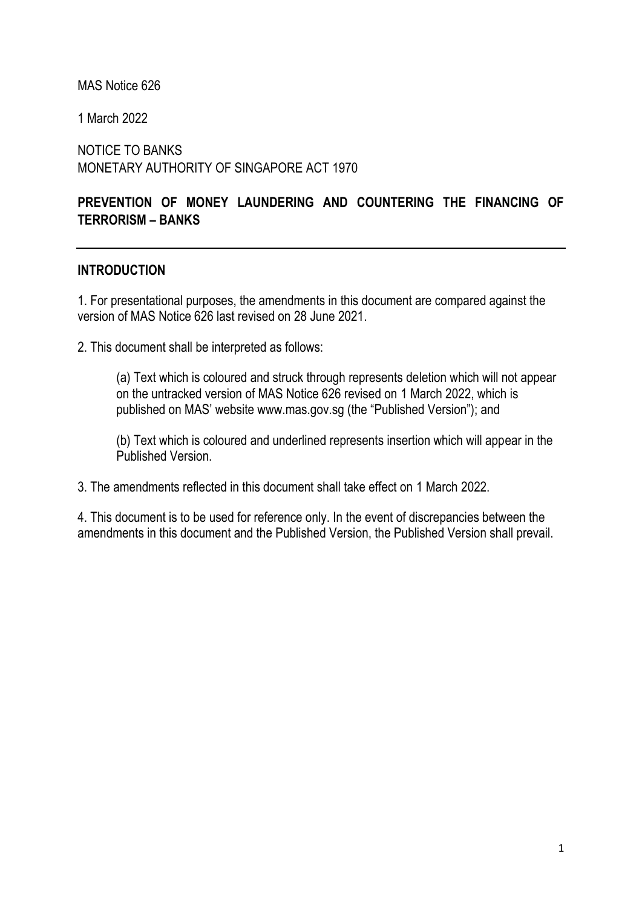MAS Notice 626

1 March 2022

NOTICE TO BANKS MONETARY AUTHORITY OF SINGAPORE ACT 1970

# **PREVENTION OF MONEY LAUNDERING AND COUNTERING THE FINANCING OF TERRORISM – BANKS**

### **INTRODUCTION**

1. For presentational purposes, the amendments in this document are compared against the version of MAS Notice 626 last revised on 28 June 2021.

2. This document shall be interpreted as follows:

(a) Text which is coloured and struck through represents deletion which will not appear on the untracked version of MAS Notice 626 revised on 1 March 2022, which is published on MAS' website www.mas.gov.sg (the "Published Version"); and

(b) Text which is coloured and underlined represents insertion which will appear in the Published Version.

3. The amendments reflected in this document shall take effect on 1 March 2022.

4. This document is to be used for reference only. In the event of discrepancies between the amendments in this document and the Published Version, the Published Version shall prevail.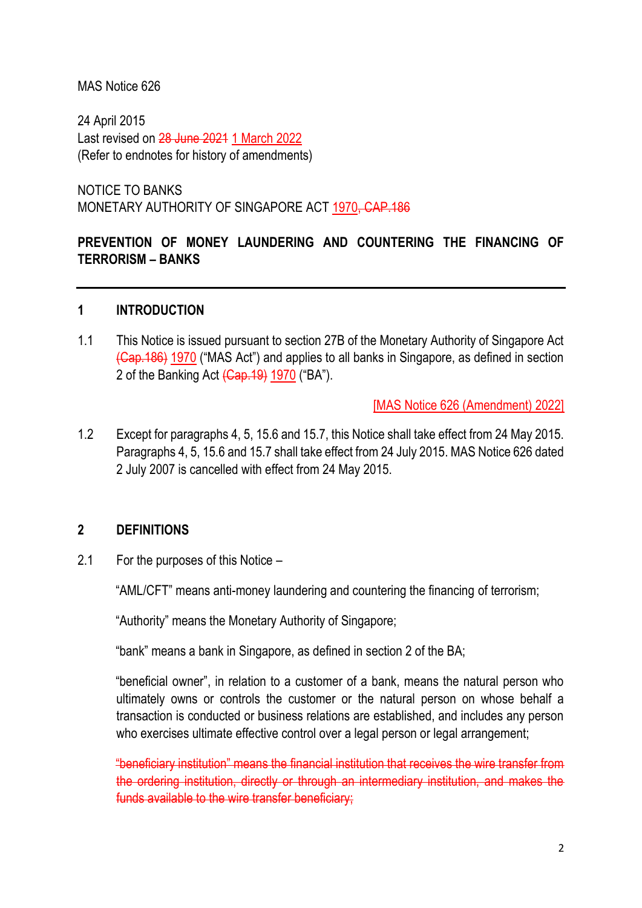### MAS Notice 626

24 April 2015 Last revised on 28 June 2021 1 March 2022 (Refer to endnotes for history of amendments)

NOTICE TO BANKS MONETARY AUTHORITY OF SINGAPORE ACT 1970, CAP.186

# **PREVENTION OF MONEY LAUNDERING AND COUNTERING THE FINANCING OF TERRORISM – BANKS**

### **1 INTRODUCTION**

1.1 This Notice is issued pursuant to section 27B of the Monetary Authority of Singapore Act (Cap.186) 1970 ("MAS Act") and applies to all banks in Singapore, as defined in section 2 of the Banking Act (Cap. 19) 1970 ("BA").

[MAS Notice 626 (Amendment) 2022]

1.2 Except for paragraphs 4, 5, 15.6 and 15.7, this Notice shall take effect from 24 May 2015. Paragraphs 4, 5, 15.6 and 15.7 shall take effect from 24 July 2015. MAS Notice 626 dated 2 July 2007 is cancelled with effect from 24 May 2015.

### **2 DEFINITIONS**

2.1 For the purposes of this Notice –

"AML/CFT" means anti-money laundering and countering the financing of terrorism;

"Authority" means the Monetary Authority of Singapore;

"bank" means a bank in Singapore, as defined in section 2 of the BA;

"beneficial owner", in relation to a customer of a bank, means the natural person who ultimately owns or controls the customer or the natural person on whose behalf a transaction is conducted or business relations are established, and includes any person who exercises ultimate effective control over a legal person or legal arrangement;

"beneficiary institution" means the financial institution that receives the wire transfer from the ordering institution, directly or through an intermediary institution, and makes the funds available to the wire transfer beneficiary;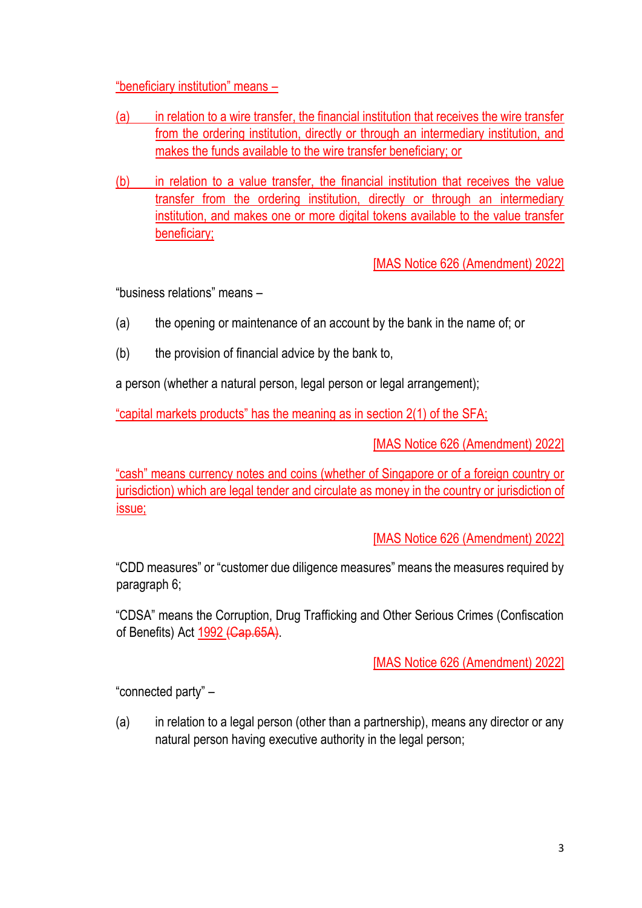"beneficiary institution" means –

- (a) in relation to a wire transfer, the financial institution that receives the wire transfer from the ordering institution, directly or through an intermediary institution, and makes the funds available to the wire transfer beneficiary; or
- (b) in relation to a value transfer, the financial institution that receives the value transfer from the ordering institution, directly or through an intermediary institution, and makes one or more digital tokens available to the value transfer beneficiary;

[MAS Notice 626 (Amendment) 2022]

"business relations" means –

- (a) the opening or maintenance of an account by the bank in the name of; or
- (b) the provision of financial advice by the bank to,

a person (whether a natural person, legal person or legal arrangement);

"capital markets products" has the meaning as in section 2(1) of the SFA;

[MAS Notice 626 (Amendment) 2022]

"cash" means currency notes and coins (whether of Singapore or of a foreign country or jurisdiction) which are legal tender and circulate as money in the country or jurisdiction of issue;

[MAS Notice 626 (Amendment) 2022]

"CDD measures" or "customer due diligence measures" means the measures required by paragraph 6;

"CDSA" means the Corruption, Drug Trafficking and Other Serious Crimes (Confiscation of Benefits) Act 1992 (Cap.65A).

[MAS Notice 626 (Amendment) 2022]

"connected party" –

(a) in relation to a legal person (other than a partnership), means any director or any natural person having executive authority in the legal person;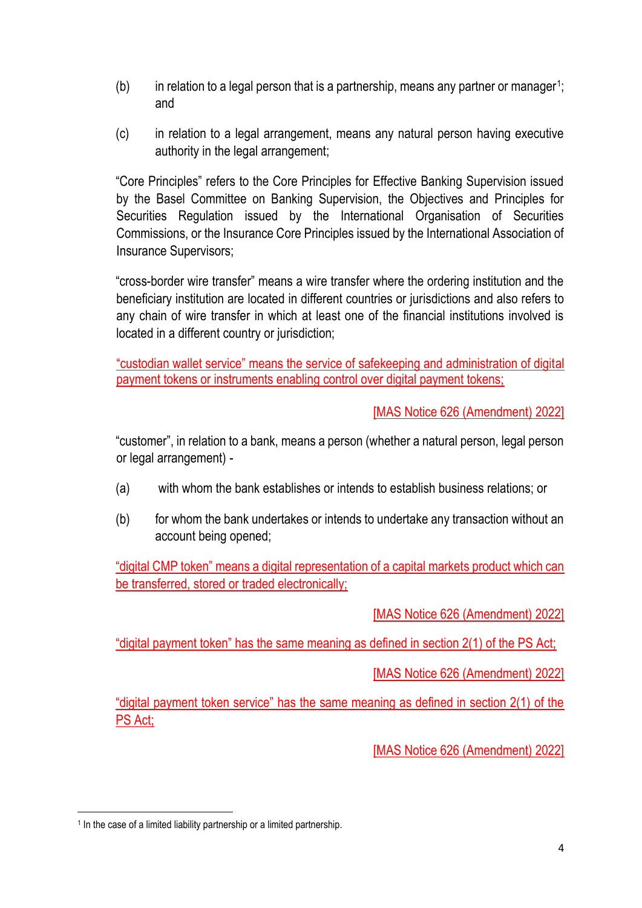- $(b)$  in relation to a legal person that is a partnership, means any partner or manager<sup>1</sup>; and
- (c) in relation to a legal arrangement, means any natural person having executive authority in the legal arrangement;

"Core Principles" refers to the Core Principles for Effective Banking Supervision issued by the Basel Committee on Banking Supervision, the Objectives and Principles for Securities Regulation issued by the International Organisation of Securities Commissions, or the Insurance Core Principles issued by the International Association of Insurance Supervisors;

"cross-border wire transfer" means a wire transfer where the ordering institution and the beneficiary institution are located in different countries or jurisdictions and also refers to any chain of wire transfer in which at least one of the financial institutions involved is located in a different country or jurisdiction;

"custodian wallet service" means the service of safekeeping and administration of digital payment tokens or instruments enabling control over digital payment tokens;

[MAS Notice 626 (Amendment) 2022]

"customer", in relation to a bank, means a person (whether a natural person, legal person or legal arrangement) -

- (a) with whom the bank establishes or intends to establish business relations; or
- (b) for whom the bank undertakes or intends to undertake any transaction without an account being opened;

"digital CMP token" means a digital representation of a capital markets product which can be transferred, stored or traded electronically;

[MAS Notice 626 (Amendment) 2022]

"digital payment token" has the same meaning as defined in section 2(1) of the PS Act;

[MAS Notice 626 (Amendment) 2022]

"digital payment token service" has the same meaning as defined in section 2(1) of the PS Act;

<sup>&</sup>lt;sup>1</sup> In the case of a limited liability partnership or a limited partnership.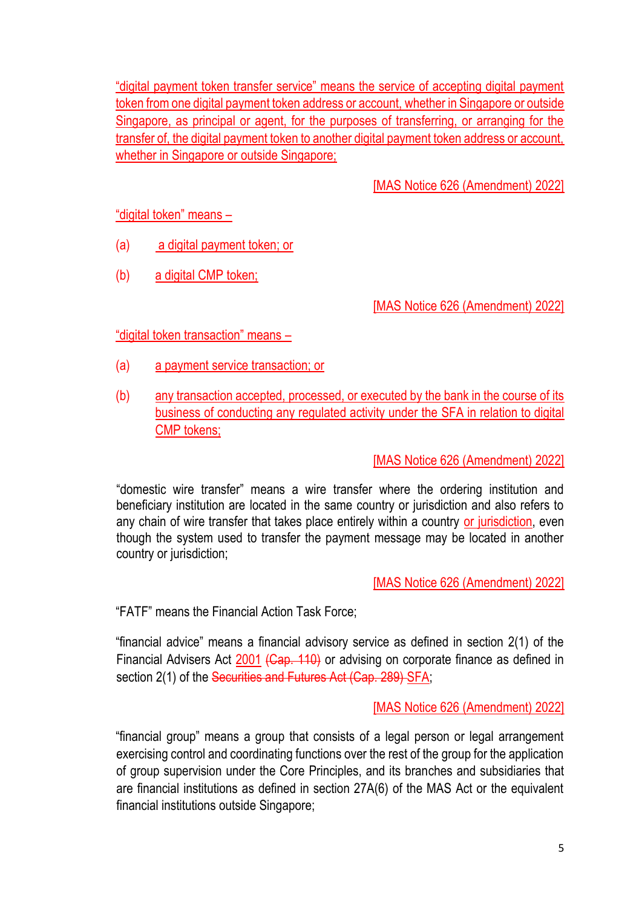"digital payment token transfer service" means the service of accepting digital payment token from one digital payment token address or account, whether in Singapore or outside Singapore, as principal or agent, for the purposes of transferring, or arranging for the transfer of, the digital payment token to another digital payment token address or account, whether in Singapore or outside Singapore;

[MAS Notice 626 (Amendment) 2022]

"digital token" means –

- (a) a digital payment token; or
- (b) a digital CMP token;

[MAS Notice 626 (Amendment) 2022]

"digital token transaction" means –

- (a) a payment service transaction; or
- (b) any transaction accepted, processed, or executed by the bank in the course of its business of conducting any regulated activity under the SFA in relation to digital CMP tokens;

[MAS Notice 626 (Amendment) 2022]

"domestic wire transfer" means a wire transfer where the ordering institution and beneficiary institution are located in the same country or jurisdiction and also refers to any chain of wire transfer that takes place entirely within a country or jurisdiction, even though the system used to transfer the payment message may be located in another country or jurisdiction;

[MAS Notice 626 (Amendment) 2022]

"FATF" means the Financial Action Task Force;

"financial advice" means a financial advisory service as defined in section 2(1) of the Financial Advisers Act 2001 (Cap. 110) or advising on corporate finance as defined in section 2(1) of the Securities and Futures Act (Cap. 289) SFA;

[MAS Notice 626 (Amendment) 2022]

"financial group" means a group that consists of a legal person or legal arrangement exercising control and coordinating functions over the rest of the group for the application of group supervision under the Core Principles, and its branches and subsidiaries that are financial institutions as defined in section 27A(6) of the MAS Act or the equivalent financial institutions outside Singapore;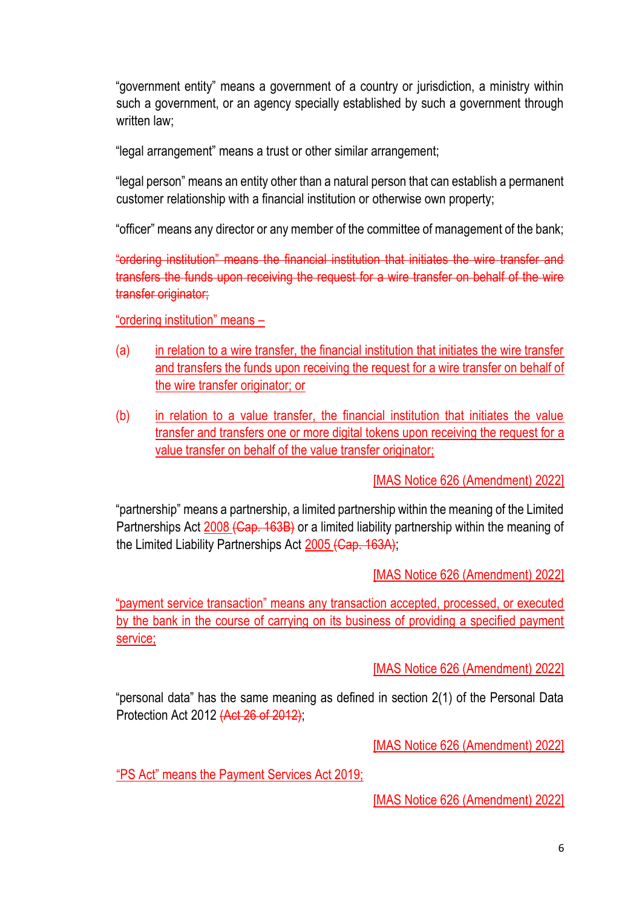"government entity" means a government of a country or jurisdiction, a ministry within such a government, or an agency specially established by such a government through written law:

"legal arrangement" means a trust or other similar arrangement;

"legal person" means an entity other than a natural person that can establish a permanent customer relationship with a financial institution or otherwise own property;

"officer" means any director or any member of the committee of management of the bank;

"ordering institution" means the financial institution that initiates the wire transfer and transfers the funds upon receiving the request for a wire transfer on behalf of the wire transfer originator;

"ordering institution" means –

- (a) in relation to a wire transfer, the financial institution that initiates the wire transfer and transfers the funds upon receiving the request for a wire transfer on behalf of the wire transfer originator; or
- (b) in relation to a value transfer, the financial institution that initiates the value transfer and transfers one or more digital tokens upon receiving the request for a value transfer on behalf of the value transfer originator;

[MAS Notice 626 (Amendment) 2022]

"partnership" means a partnership, a limited partnership within the meaning of the Limited Partnerships Act 2008 (Cap. 163B) or a limited liability partnership within the meaning of the Limited Liability Partnerships Act 2005 (Cap. 163A);

[MAS Notice 626 (Amendment) 2022]

"payment service transaction" means any transaction accepted, processed, or executed by the bank in the course of carrying on its business of providing a specified payment service;

[MAS Notice 626 (Amendment) 2022]

"personal data" has the same meaning as defined in section 2(1) of the Personal Data Protection Act 2012 (Act 26 of 2012);

[MAS Notice 626 (Amendment) 2022]

"PS Act" means the Payment Services Act 2019;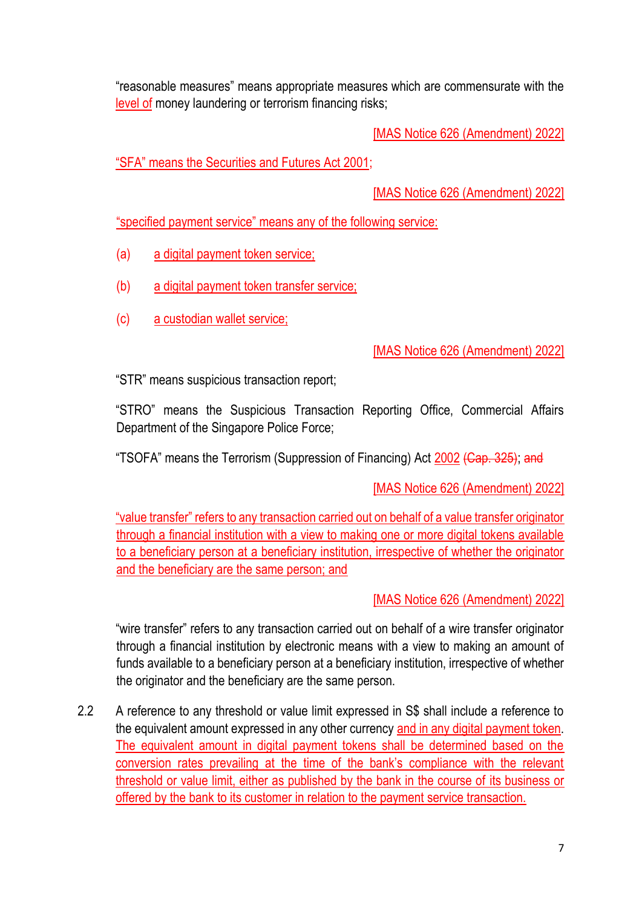"reasonable measures" means appropriate measures which are commensurate with the level of money laundering or terrorism financing risks;

[MAS Notice 626 (Amendment) 2022]

"SFA" means the Securities and Futures Act 2001;

[MAS Notice 626 (Amendment) 2022]

"specified payment service" means any of the following service:

- (a) a digital payment token service;
- (b) a digital payment token transfer service;
- (c) a custodian wallet service;

[MAS Notice 626 (Amendment) 2022]

"STR" means suspicious transaction report;

"STRO" means the Suspicious Transaction Reporting Office, Commercial Affairs Department of the Singapore Police Force;

"TSOFA" means the Terrorism (Suppression of Financing) Act 2002 (Cap. 325); and

[MAS Notice 626 (Amendment) 2022]

"value transfer" refers to any transaction carried out on behalf of a value transfer originator through a financial institution with a view to making one or more digital tokens available to a beneficiary person at a beneficiary institution, irrespective of whether the originator and the beneficiary are the same person; and

[MAS Notice 626 (Amendment) 2022]

"wire transfer" refers to any transaction carried out on behalf of a wire transfer originator through a financial institution by electronic means with a view to making an amount of funds available to a beneficiary person at a beneficiary institution, irrespective of whether the originator and the beneficiary are the same person.

2.2 A reference to any threshold or value limit expressed in S\$ shall include a reference to the equivalent amount expressed in any other currency and in any digital payment token. The equivalent amount in digital payment tokens shall be determined based on the conversion rates prevailing at the time of the bank's compliance with the relevant threshold or value limit, either as published by the bank in the course of its business or offered by the bank to its customer in relation to the payment service transaction.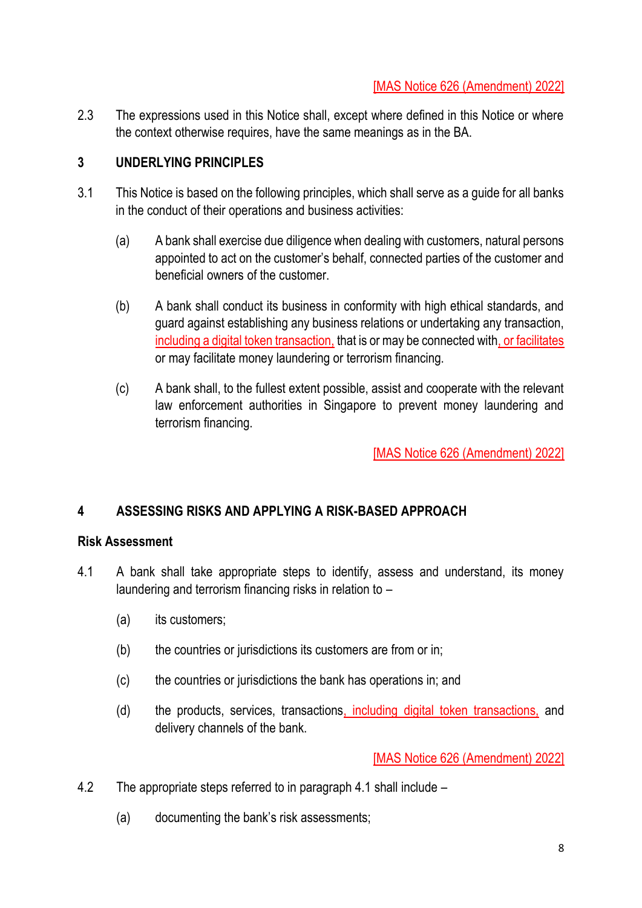2.3 The expressions used in this Notice shall, except where defined in this Notice or where the context otherwise requires, have the same meanings as in the BA.

## **3 UNDERLYING PRINCIPLES**

- 3.1 This Notice is based on the following principles, which shall serve as a guide for all banks in the conduct of their operations and business activities:
	- (a) A bank shall exercise due diligence when dealing with customers, natural persons appointed to act on the customer's behalf, connected parties of the customer and beneficial owners of the customer.
	- (b) A bank shall conduct its business in conformity with high ethical standards, and guard against establishing any business relations or undertaking any transaction, including a digital token transaction, that is or may be connected with, or facilitates or may facilitate money laundering or terrorism financing.
	- (c) A bank shall, to the fullest extent possible, assist and cooperate with the relevant law enforcement authorities in Singapore to prevent money laundering and terrorism financing.

[MAS Notice 626 (Amendment) 2022]

## **4 ASSESSING RISKS AND APPLYING A RISK-BASED APPROACH**

### **Risk Assessment**

- 4.1 A bank shall take appropriate steps to identify, assess and understand, its money laundering and terrorism financing risks in relation to –
	- (a) its customers;
	- (b) the countries or jurisdictions its customers are from or in;
	- (c) the countries or jurisdictions the bank has operations in; and
	- (d) the products, services, transactions, including digital token transactions, and delivery channels of the bank.

- 4.2 The appropriate steps referred to in paragraph 4.1 shall include
	- (a) documenting the bank's risk assessments;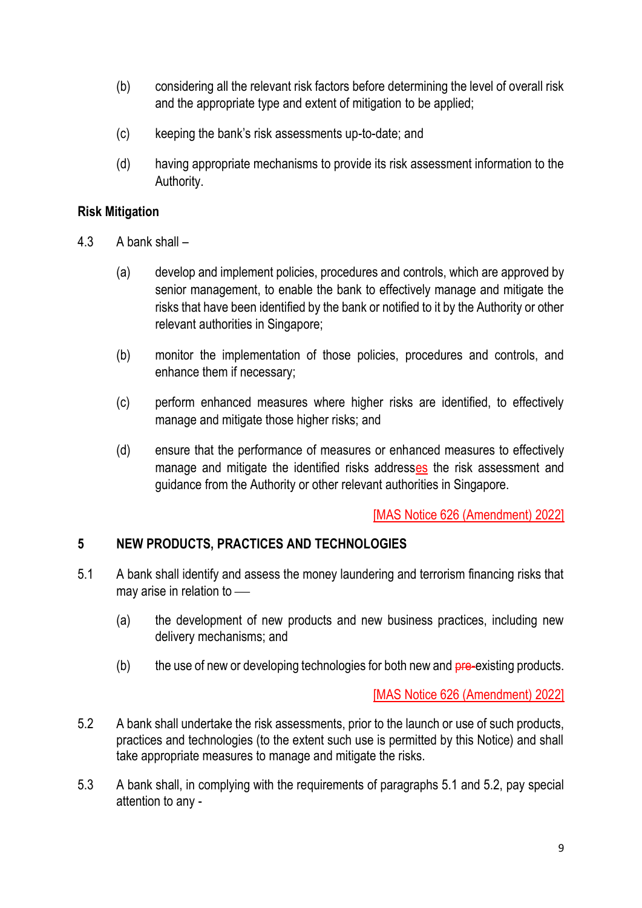- (b) considering all the relevant risk factors before determining the level of overall risk and the appropriate type and extent of mitigation to be applied;
- (c) keeping the bank's risk assessments up-to-date; and
- (d) having appropriate mechanisms to provide its risk assessment information to the Authority.

### **Risk Mitigation**

- 4.3 A bank shall
	- (a) develop and implement policies, procedures and controls, which are approved by senior management, to enable the bank to effectively manage and mitigate the risks that have been identified by the bank or notified to it by the Authority or other relevant authorities in Singapore;
	- (b) monitor the implementation of those policies, procedures and controls, and enhance them if necessary;
	- (c) perform enhanced measures where higher risks are identified, to effectively manage and mitigate those higher risks; and
	- (d) ensure that the performance of measures or enhanced measures to effectively manage and mitigate the identified risks addresses the risk assessment and guidance from the Authority or other relevant authorities in Singapore.

[MAS Notice 626 (Amendment) 2022]

## **5 NEW PRODUCTS, PRACTICES AND TECHNOLOGIES**

- 5.1 A bank shall identify and assess the money laundering and terrorism financing risks that may arise in relation to  $-$ 
	- (a) the development of new products and new business practices, including new delivery mechanisms; and
	- $(b)$  the use of new or developing technologies for both new and  $pre-existing$  products.

- 5.2 A bank shall undertake the risk assessments, prior to the launch or use of such products, practices and technologies (to the extent such use is permitted by this Notice) and shall take appropriate measures to manage and mitigate the risks.
- 5.3 A bank shall, in complying with the requirements of paragraphs 5.1 and 5.2, pay special attention to any -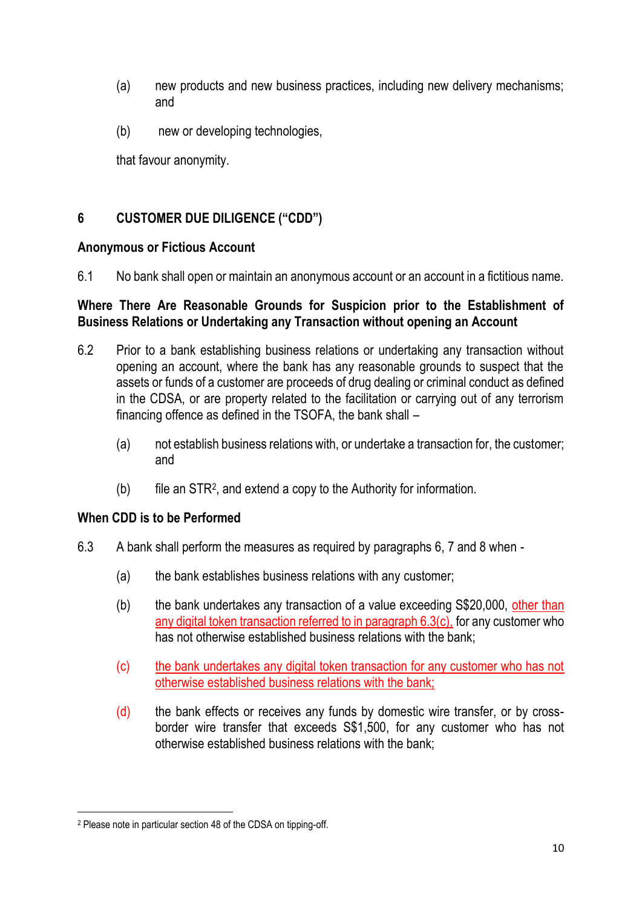- (a) new products and new business practices, including new delivery mechanisms; and
- (b) new or developing technologies,

that favour anonymity.

# **6 CUSTOMER DUE DILIGENCE ("CDD")**

### **Anonymous or Fictious Account**

6.1 No bank shall open or maintain an anonymous account or an account in a fictitious name.

## **Where There Are Reasonable Grounds for Suspicion prior to the Establishment of Business Relations or Undertaking any Transaction without opening an Account**

- 6.2 Prior to a bank establishing business relations or undertaking any transaction without opening an account, where the bank has any reasonable grounds to suspect that the assets or funds of a customer are proceeds of drug dealing or criminal conduct as defined in the CDSA, or are property related to the facilitation or carrying out of any terrorism financing offence as defined in the TSOFA, the bank shall –
	- (a) not establish business relations with, or undertake a transaction for, the customer; and
	- (b) file an STR<sup>2</sup> , and extend a copy to the Authority for information.

## **When CDD is to be Performed**

- 6.3 A bank shall perform the measures as required by paragraphs 6, 7 and 8 when
	- (a) the bank establishes business relations with any customer;
	- (b) the bank undertakes any transaction of a value exceeding S\$20,000, other than any digital token transaction referred to in paragraph 6.3(c), for any customer who has not otherwise established business relations with the bank;
	- (c) the bank undertakes any digital token transaction for any customer who has not otherwise established business relations with the bank;
	- (d) the bank effects or receives any funds by domestic wire transfer, or by crossborder wire transfer that exceeds S\$1,500, for any customer who has not otherwise established business relations with the bank;

<sup>2</sup> Please note in particular section 48 of the CDSA on tipping-off.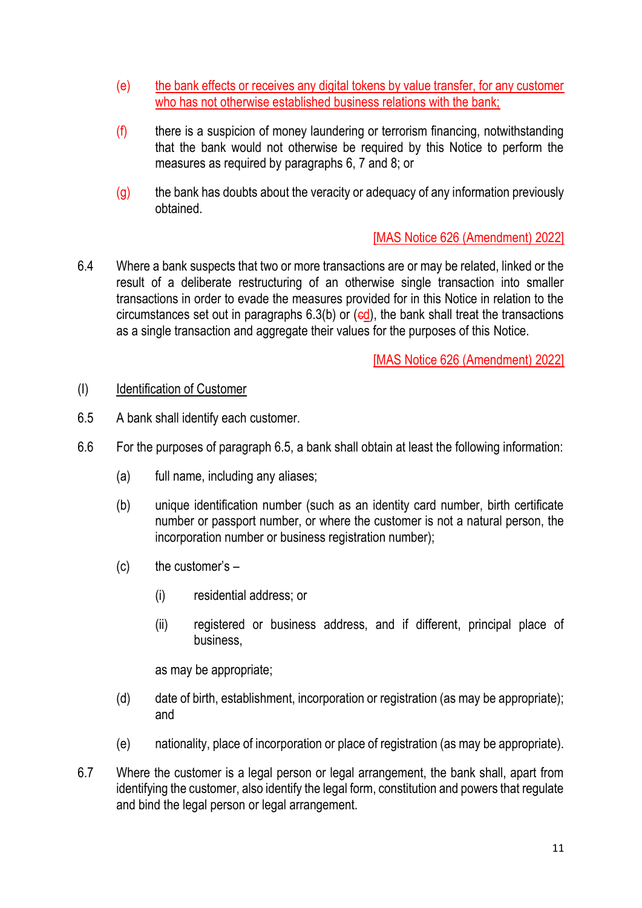- (e) the bank effects or receives any digital tokens by value transfer, for any customer who has not otherwise established business relations with the bank;
- (f) there is a suspicion of money laundering or terrorism financing, notwithstanding that the bank would not otherwise be required by this Notice to perform the measures as required by paragraphs 6, 7 and 8; or
- (g) the bank has doubts about the veracity or adequacy of any information previously obtained.

6.4 Where a bank suspects that two or more transactions are or may be related, linked or the result of a deliberate restructuring of an otherwise single transaction into smaller transactions in order to evade the measures provided for in this Notice in relation to the circumstances set out in paragraphs  $6.3(b)$  or (ed), the bank shall treat the transactions as a single transaction and aggregate their values for the purposes of this Notice.

[MAS Notice 626 (Amendment) 2022]

### (I) Identification of Customer

- 6.5 A bank shall identify each customer.
- 6.6 For the purposes of paragraph 6.5, a bank shall obtain at least the following information:
	- (a) full name, including any aliases;
	- (b) unique identification number (such as an identity card number, birth certificate number or passport number, or where the customer is not a natural person, the incorporation number or business registration number):
	- $(c)$  the customer's  $-$ 
		- (i) residential address; or
		- (ii) registered or business address, and if different, principal place of business,

as may be appropriate;

- (d) date of birth, establishment, incorporation or registration (as may be appropriate); and
- (e) nationality, place of incorporation or place of registration (as may be appropriate).
- 6.7 Where the customer is a legal person or legal arrangement, the bank shall, apart from identifying the customer, also identify the legal form, constitution and powers that regulate and bind the legal person or legal arrangement.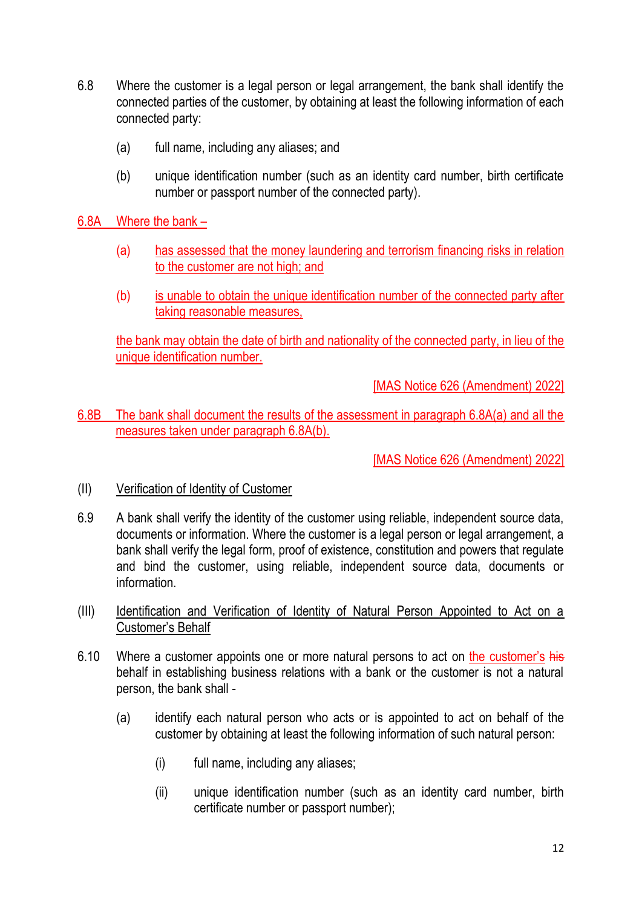- 6.8 Where the customer is a legal person or legal arrangement, the bank shall identify the connected parties of the customer, by obtaining at least the following information of each connected party:
	- (a) full name, including any aliases; and
	- (b) unique identification number (such as an identity card number, birth certificate number or passport number of the connected party).
- 6.8A Where the bank
	- (a) has assessed that the money laundering and terrorism financing risks in relation to the customer are not high; and
	- (b) is unable to obtain the unique identification number of the connected party after taking reasonable measures,

the bank may obtain the date of birth and nationality of the connected party, in lieu of the unique identification number.

[MAS Notice 626 (Amendment) 2022]

6.8B The bank shall document the results of the assessment in paragraph 6.8A(a) and all the measures taken under paragraph 6.8A(b).

- (II) Verification of Identity of Customer
- 6.9 A bank shall verify the identity of the customer using reliable, independent source data, documents or information. Where the customer is a legal person or legal arrangement, a bank shall verify the legal form, proof of existence, constitution and powers that regulate and bind the customer, using reliable, independent source data, documents or information.
- (III) Identification and Verification of Identity of Natural Person Appointed to Act on a Customer's Behalf
- 6.10 Where a customer appoints one or more natural persons to act on the customer's his behalf in establishing business relations with a bank or the customer is not a natural person, the bank shall -
	- (a) identify each natural person who acts or is appointed to act on behalf of the customer by obtaining at least the following information of such natural person:
		- (i) full name, including any aliases;
		- (ii) unique identification number (such as an identity card number, birth certificate number or passport number);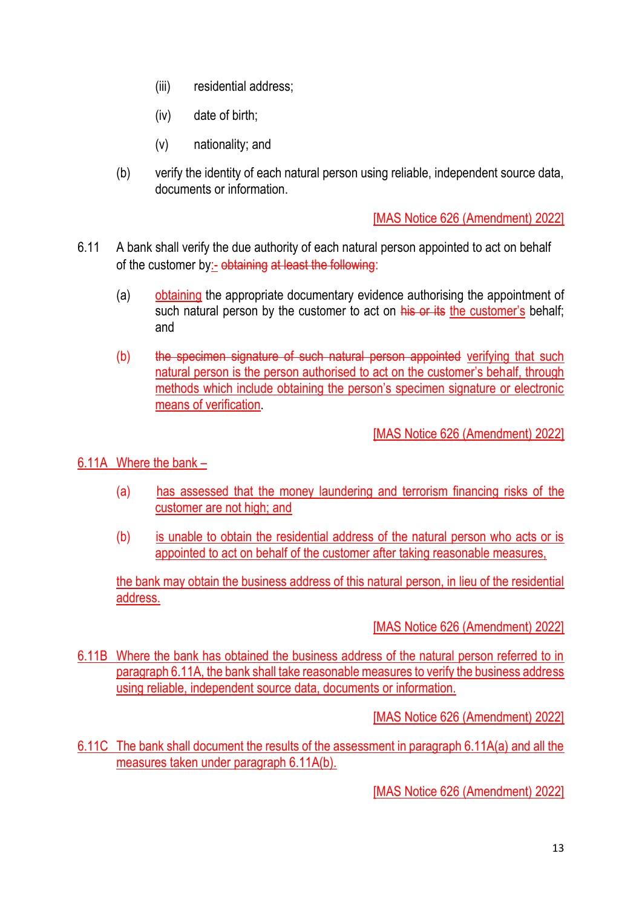- (iii) residential address;
- (iv) date of birth;
- (v) nationality; and
- (b) verify the identity of each natural person using reliable, independent source data, documents or information.

- 6.11 A bank shall verify the due authority of each natural person appointed to act on behalf of the customer by:- obtaining at least the following:
	- (a) obtaining the appropriate documentary evidence authorising the appointment of such natural person by the customer to act on his or its the customer's behalf: and
	- (b) the specimen signature of such natural person appointed verifying that such natural person is the person authorised to act on the customer's behalf, through methods which include obtaining the person's specimen signature or electronic means of verification.

[MAS Notice 626 (Amendment) 2022]

### 6.11A Where the bank –

- (a) has assessed that the money laundering and terrorism financing risks of the customer are not high; and
- (b) is unable to obtain the residential address of the natural person who acts or is appointed to act on behalf of the customer after taking reasonable measures,

the bank may obtain the business address of this natural person, in lieu of the residential address.

### [MAS Notice 626 (Amendment) 2022]

6.11B Where the bank has obtained the business address of the natural person referred to in paragraph 6.11A, the bank shall take reasonable measures to verify the business address using reliable, independent source data, documents or information.

[MAS Notice 626 (Amendment) 2022]

6.11C The bank shall document the results of the assessment in paragraph 6.11A(a) and all the measures taken under paragraph 6.11A(b).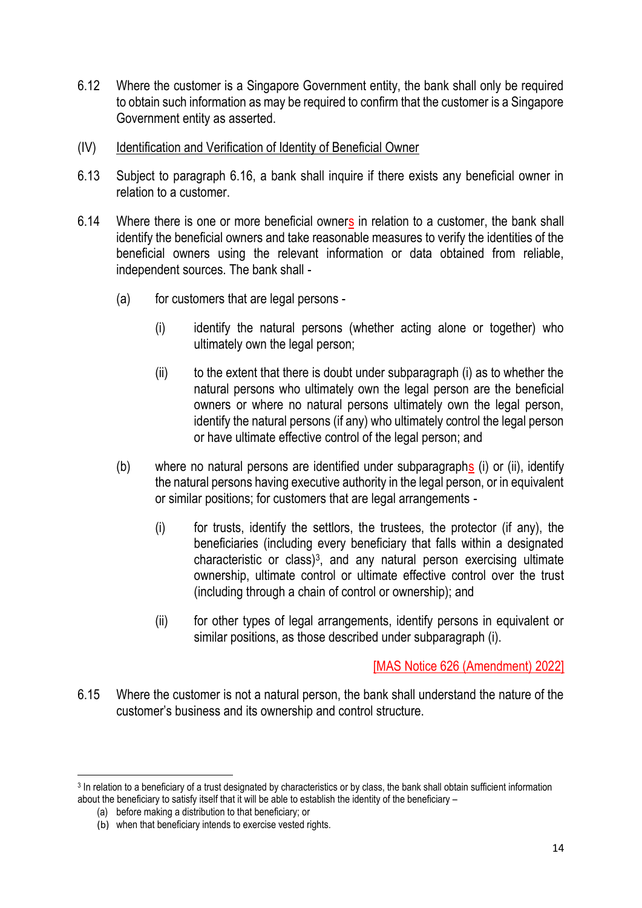- 6.12 Where the customer is a Singapore Government entity, the bank shall only be required to obtain such information as may be required to confirm that the customer is a Singapore Government entity as asserted.
- (IV) Identification and Verification of Identity of Beneficial Owner
- 6.13 Subject to paragraph 6.16, a bank shall inquire if there exists any beneficial owner in relation to a customer.
- 6.14 Where there is one or more beneficial owners in relation to a customer, the bank shall identify the beneficial owners and take reasonable measures to verify the identities of the beneficial owners using the relevant information or data obtained from reliable, independent sources. The bank shall -
	- (a) for customers that are legal persons
		- (i) identify the natural persons (whether acting alone or together) who ultimately own the legal person;
		- $(i)$  to the extent that there is doubt under subparagraph  $(i)$  as to whether the natural persons who ultimately own the legal person are the beneficial owners or where no natural persons ultimately own the legal person, identify the natural persons (if any) who ultimately control the legal person or have ultimate effective control of the legal person; and
	- (b) where no natural persons are identified under subparagraphs (i) or (ii), identify the natural persons having executive authority in the legal person, or in equivalent or similar positions; for customers that are legal arrangements -
		- $(i)$  for trusts, identify the settlors, the trustees, the protector (if any), the beneficiaries (including every beneficiary that falls within a designated characteristic or class)<sup>3</sup>, and any natural person exercising ultimate ownership, ultimate control or ultimate effective control over the trust (including through a chain of control or ownership); and
		- (ii) for other types of legal arrangements, identify persons in equivalent or similar positions, as those described under subparagraph (i).

6.15 Where the customer is not a natural person, the bank shall understand the nature of the customer's business and its ownership and control structure.

<sup>&</sup>lt;sup>3</sup> In relation to a beneficiary of a trust designated by characteristics or by class, the bank shall obtain sufficient information about the beneficiary to satisfy itself that it will be able to establish the identity of the beneficiary –

<sup>(</sup>a) before making a distribution to that beneficiary; or

<sup>(</sup>b) when that beneficiary intends to exercise vested rights.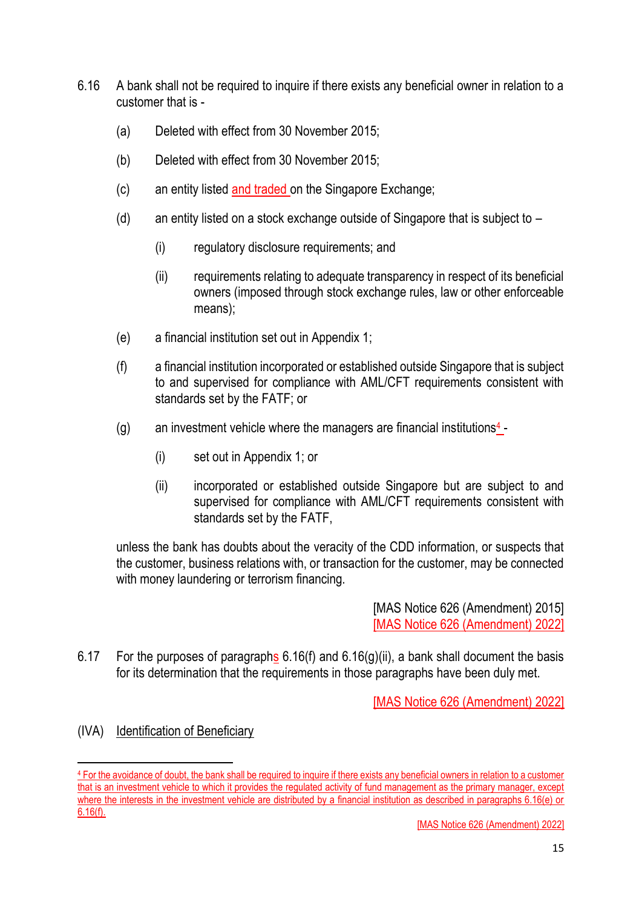- 6.16 A bank shall not be required to inquire if there exists any beneficial owner in relation to a customer that is -
	- (a) Deleted with effect from 30 November 2015;
	- (b) Deleted with effect from 30 November 2015;
	- (c) an entity listed and traded on the Singapore Exchange;
	- (d) an entity listed on a stock exchange outside of Singapore that is subject to  $-$ 
		- (i) regulatory disclosure requirements; and
		- (ii) requirements relating to adequate transparency in respect of its beneficial owners (imposed through stock exchange rules, law or other enforceable means);
	- (e) a financial institution set out in Appendix 1;
	- (f) a financial institution incorporated or established outside Singapore that is subject to and supervised for compliance with AML/CFT requirements consistent with standards set by the FATF; or
	- (g) an investment vehicle where the managers are financial institutions $\frac{4}{5}$ -
		- (i) set out in Appendix 1; or
		- (ii) incorporated or established outside Singapore but are subject to and supervised for compliance with AML/CFT requirements consistent with standards set by the FATF,

unless the bank has doubts about the veracity of the CDD information, or suspects that the customer, business relations with, or transaction for the customer, may be connected with money laundering or terrorism financing.

> [MAS Notice 626 (Amendment) 2015] [MAS Notice 626 (Amendment) 2022]

6.17 For the purposes of paragraphs  $6.16(f)$  and  $6.16(g)(ii)$ , a bank shall document the basis for its determination that the requirements in those paragraphs have been duly met.

[MAS Notice 626 (Amendment) 2022]

### (IVA) Identification of Beneficiary

<sup>4</sup> For the avoidance of doubt, the bank shall be required to inquire if there exists any beneficial owners in relation to a customer that is an investment vehicle to which it provides the regulated activity of fund management as the primary manager, except where the interests in the investment vehicle are distributed by a financial institution as described in paragraphs 6.16(e) or 6.16(f).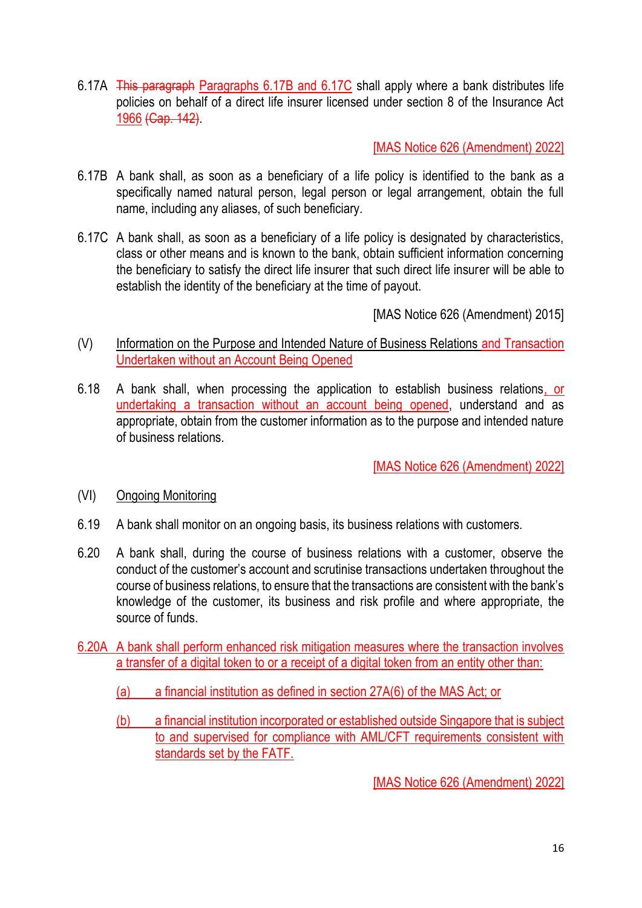6.17A This paragraph Paragraphs 6.17B and 6.17C shall apply where a bank distributes life policies on behalf of a direct life insurer licensed under section 8 of the Insurance Act 1966 (Cap. 142).

[MAS Notice 626 (Amendment) 2022]

- 6.17B A bank shall, as soon as a beneficiary of a life policy is identified to the bank as a specifically named natural person, legal person or legal arrangement, obtain the full name, including any aliases, of such beneficiary.
- 6.17C A bank shall, as soon as a beneficiary of a life policy is designated by characteristics, class or other means and is known to the bank, obtain sufficient information concerning the beneficiary to satisfy the direct life insurer that such direct life insurer will be able to establish the identity of the beneficiary at the time of payout.

[MAS Notice 626 (Amendment) 2015]

- (V) Information on the Purpose and Intended Nature of Business Relations and Transaction Undertaken without an Account Being Opened
- 6.18 A bank shall, when processing the application to establish business relations, or undertaking a transaction without an account being opened, understand and as appropriate, obtain from the customer information as to the purpose and intended nature of business relations.

[MAS Notice 626 (Amendment) 2022]

- (VI) Ongoing Monitoring
- 6.19 A bank shall monitor on an ongoing basis, its business relations with customers.
- 6.20 A bank shall, during the course of business relations with a customer, observe the conduct of the customer's account and scrutinise transactions undertaken throughout the course of business relations, to ensure that the transactions are consistent with the bank's knowledge of the customer, its business and risk profile and where appropriate, the source of funds.
- 6.20A A bank shall perform enhanced risk mitigation measures where the transaction involves a transfer of a digital token to or a receipt of a digital token from an entity other than:
	- (a) a financial institution as defined in section 27A(6) of the MAS Act; or
	- (b) a financial institution incorporated or established outside Singapore that is subject to and supervised for compliance with AML/CFT requirements consistent with standards set by the FATF.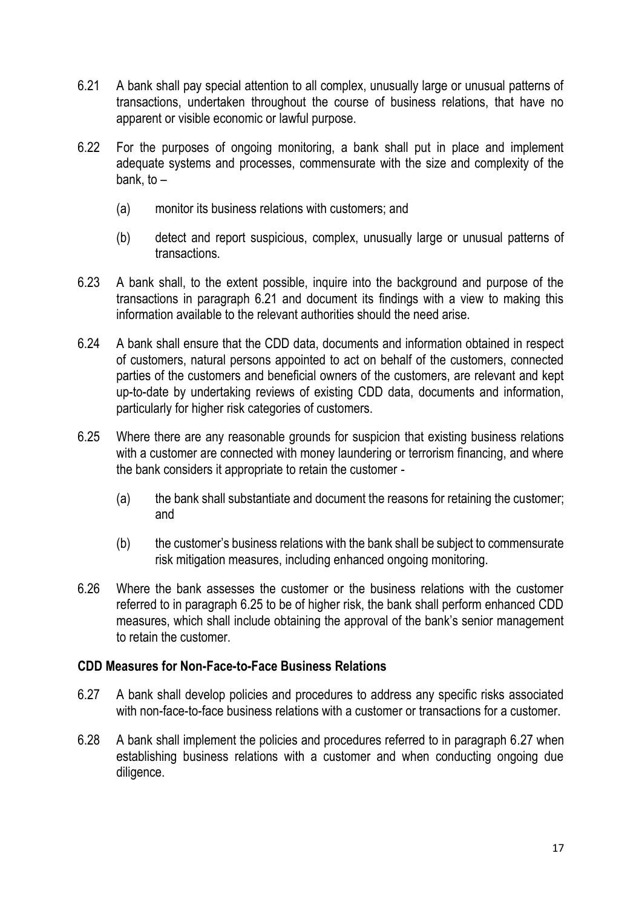- 6.21 A bank shall pay special attention to all complex, unusually large or unusual patterns of transactions, undertaken throughout the course of business relations, that have no apparent or visible economic or lawful purpose.
- 6.22 For the purposes of ongoing monitoring, a bank shall put in place and implement adequate systems and processes, commensurate with the size and complexity of the bank, to  $-$ 
	- (a) monitor its business relations with customers; and
	- (b) detect and report suspicious, complex, unusually large or unusual patterns of transactions.
- 6.23 A bank shall, to the extent possible, inquire into the background and purpose of the transactions in paragraph 6.21 and document its findings with a view to making this information available to the relevant authorities should the need arise.
- 6.24 A bank shall ensure that the CDD data, documents and information obtained in respect of customers, natural persons appointed to act on behalf of the customers, connected parties of the customers and beneficial owners of the customers, are relevant and kept up-to-date by undertaking reviews of existing CDD data, documents and information, particularly for higher risk categories of customers.
- 6.25 Where there are any reasonable grounds for suspicion that existing business relations with a customer are connected with money laundering or terrorism financing, and where the bank considers it appropriate to retain the customer -
	- (a) the bank shall substantiate and document the reasons for retaining the customer; and
	- (b) the customer's business relations with the bank shall be subject to commensurate risk mitigation measures, including enhanced ongoing monitoring.
- 6.26 Where the bank assesses the customer or the business relations with the customer referred to in paragraph 6.25 to be of higher risk, the bank shall perform enhanced CDD measures, which shall include obtaining the approval of the bank's senior management to retain the customer.

## **CDD Measures for Non-Face-to-Face Business Relations**

- 6.27 A bank shall develop policies and procedures to address any specific risks associated with non-face-to-face business relations with a customer or transactions for a customer.
- 6.28 A bank shall implement the policies and procedures referred to in paragraph 6.27 when establishing business relations with a customer and when conducting ongoing due diligence.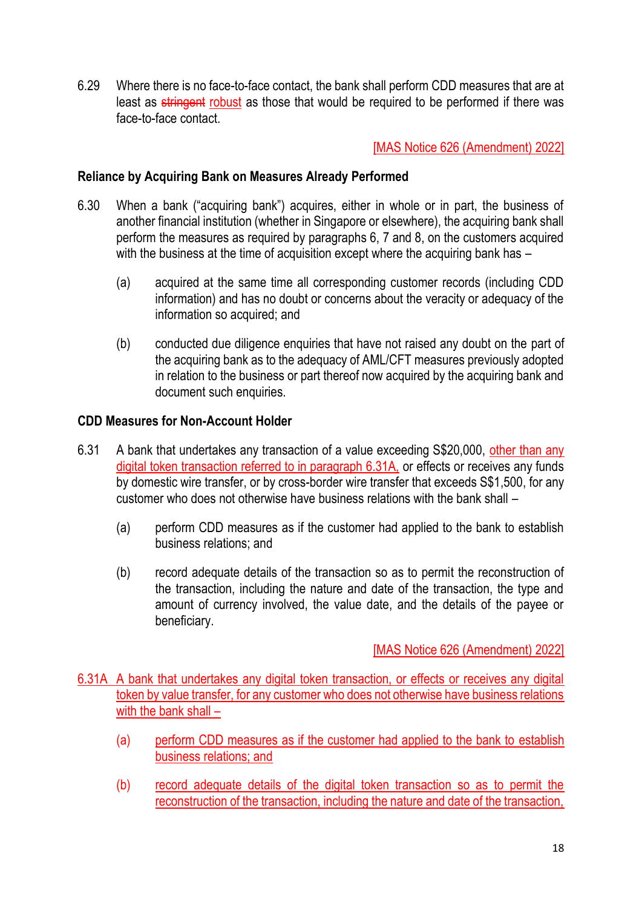6.29 Where there is no face-to-face contact, the bank shall perform CDD measures that are at least as stringent robust as those that would be required to be performed if there was face-to-face contact.

### [MAS Notice 626 (Amendment) 2022]

#### **Reliance by Acquiring Bank on Measures Already Performed**

- 6.30 When a bank ("acquiring bank") acquires, either in whole or in part, the business of another financial institution (whether in Singapore or elsewhere), the acquiring bank shall perform the measures as required by paragraphs 6, 7 and 8, on the customers acquired with the business at the time of acquisition except where the acquiring bank has –
	- (a) acquired at the same time all corresponding customer records (including CDD information) and has no doubt or concerns about the veracity or adequacy of the information so acquired; and
	- (b) conducted due diligence enquiries that have not raised any doubt on the part of the acquiring bank as to the adequacy of AML/CFT measures previously adopted in relation to the business or part thereof now acquired by the acquiring bank and document such enquiries.

#### **CDD Measures for Non-Account Holder**

- 6.31 A bank that undertakes any transaction of a value exceeding S\$20,000, other than any digital token transaction referred to in paragraph 6.31A, or effects or receives any funds by domestic wire transfer, or by cross-border wire transfer that exceeds S\$1,500, for any customer who does not otherwise have business relations with the bank shall –
	- (a) perform CDD measures as if the customer had applied to the bank to establish business relations; and
	- (b) record adequate details of the transaction so as to permit the reconstruction of the transaction, including the nature and date of the transaction, the type and amount of currency involved, the value date, and the details of the payee or beneficiary.

### [MAS Notice 626 (Amendment) 2022]

6.31A A bank that undertakes any digital token transaction, or effects or receives any digital token by value transfer, for any customer who does not otherwise have business relations with the bank shall –

- (a) perform CDD measures as if the customer had applied to the bank to establish business relations; and
- (b) record adequate details of the digital token transaction so as to permit the reconstruction of the transaction, including the nature and date of the transaction,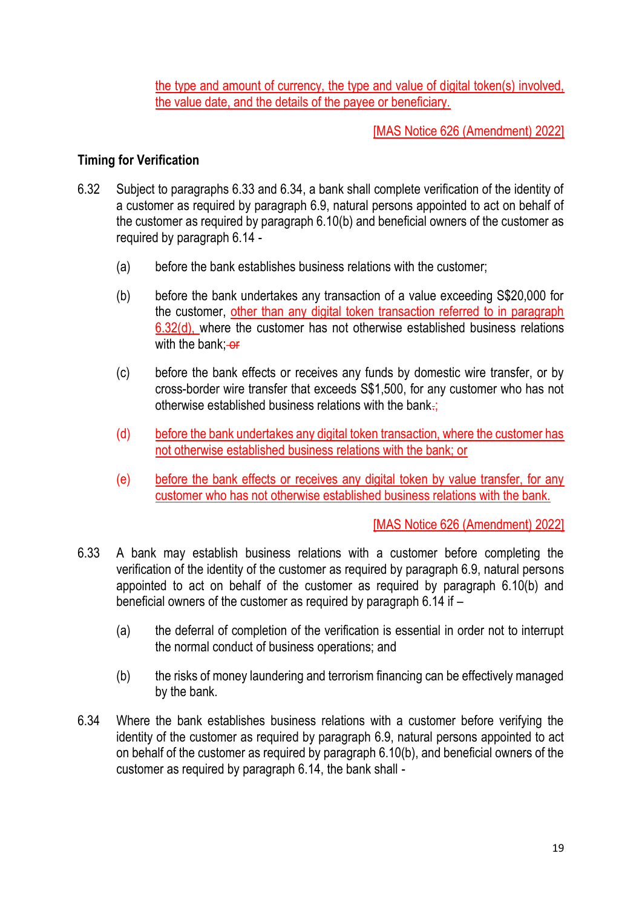the type and amount of currency, the type and value of digital token(s) involved, the value date, and the details of the payee or beneficiary.

[MAS Notice 626 (Amendment) 2022]

### **Timing for Verification**

- 6.32 Subject to paragraphs 6.33 and 6.34, a bank shall complete verification of the identity of a customer as required by paragraph 6.9, natural persons appointed to act on behalf of the customer as required by paragraph 6.10(b) and beneficial owners of the customer as required by paragraph 6.14 -
	- (a) before the bank establishes business relations with the customer;
	- (b) before the bank undertakes any transaction of a value exceeding S\$20,000 for the customer, other than any digital token transaction referred to in paragraph 6.32(d), where the customer has not otherwise established business relations with the bank;  $-$ or
	- (c) before the bank effects or receives any funds by domestic wire transfer, or by cross-border wire transfer that exceeds S\$1,500, for any customer who has not otherwise established business relations with the bank.;
	- (d) before the bank undertakes any digital token transaction, where the customer has not otherwise established business relations with the bank; or
	- (e) before the bank effects or receives any digital token by value transfer, for any customer who has not otherwise established business relations with the bank.

- 6.33 A bank may establish business relations with a customer before completing the verification of the identity of the customer as required by paragraph 6.9, natural persons appointed to act on behalf of the customer as required by paragraph 6.10(b) and beneficial owners of the customer as required by paragraph 6.14 if –
	- (a) the deferral of completion of the verification is essential in order not to interrupt the normal conduct of business operations; and
	- (b) the risks of money laundering and terrorism financing can be effectively managed by the bank.
- 6.34 Where the bank establishes business relations with a customer before verifying the identity of the customer as required by paragraph 6.9, natural persons appointed to act on behalf of the customer as required by paragraph 6.10(b), and beneficial owners of the customer as required by paragraph 6.14, the bank shall -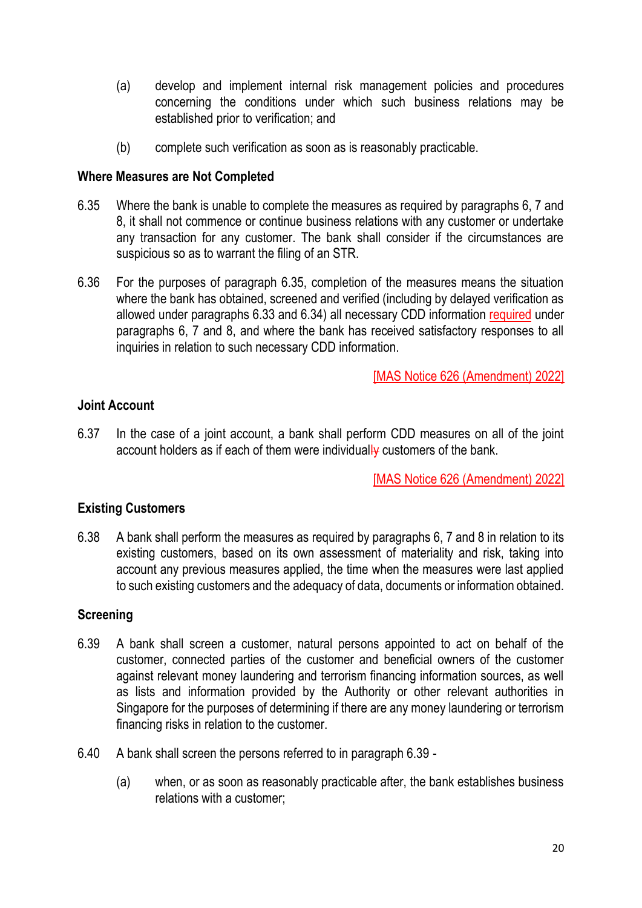- (a) develop and implement internal risk management policies and procedures concerning the conditions under which such business relations may be established prior to verification; and
- (b) complete such verification as soon as is reasonably practicable.

### **Where Measures are Not Completed**

- 6.35 Where the bank is unable to complete the measures as required by paragraphs 6, 7 and 8, it shall not commence or continue business relations with any customer or undertake any transaction for any customer. The bank shall consider if the circumstances are suspicious so as to warrant the filing of an STR.
- 6.36 For the purposes of paragraph 6.35, completion of the measures means the situation where the bank has obtained, screened and verified (including by delayed verification as allowed under paragraphs 6.33 and 6.34) all necessary CDD information required under paragraphs 6, 7 and 8, and where the bank has received satisfactory responses to all inquiries in relation to such necessary CDD information.

[MAS Notice 626 (Amendment) 2022]

## **Joint Account**

6.37 In the case of a joint account, a bank shall perform CDD measures on all of the joint account holders as if each of them were individually customers of the bank.

[MAS Notice 626 (Amendment) 2022]

### **Existing Customers**

6.38 A bank shall perform the measures as required by paragraphs 6, 7 and 8 in relation to its existing customers, based on its own assessment of materiality and risk, taking into account any previous measures applied, the time when the measures were last applied to such existing customers and the adequacy of data, documents or information obtained.

### **Screening**

- 6.39 A bank shall screen a customer, natural persons appointed to act on behalf of the customer, connected parties of the customer and beneficial owners of the customer against relevant money laundering and terrorism financing information sources, as well as lists and information provided by the Authority or other relevant authorities in Singapore for the purposes of determining if there are any money laundering or terrorism financing risks in relation to the customer.
- 6.40 A bank shall screen the persons referred to in paragraph 6.39
	- (a) when, or as soon as reasonably practicable after, the bank establishes business relations with a customer;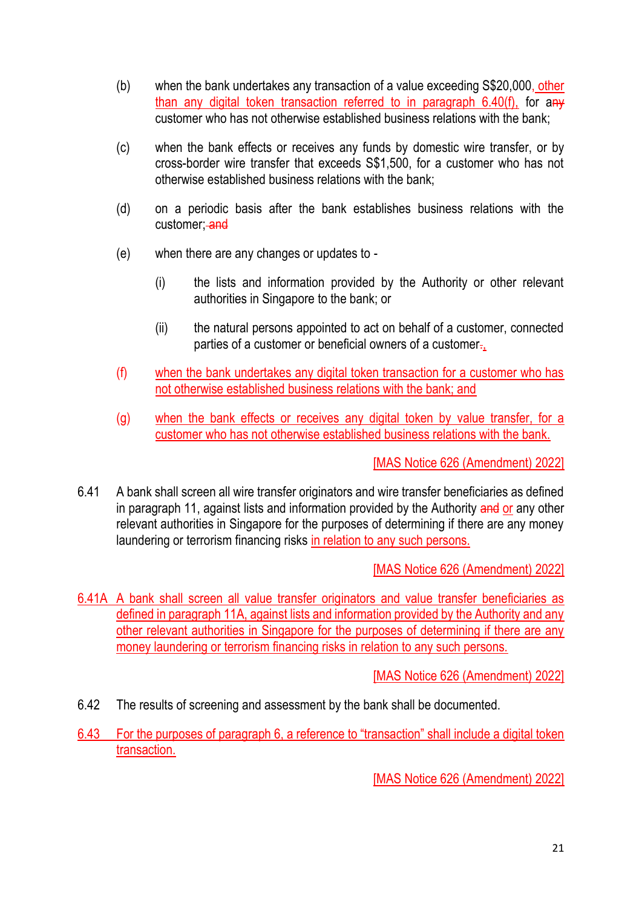- (b) when the bank undertakes any transaction of a value exceeding S\$20,000, other than any digital token transaction referred to in paragraph 6.40(f), for any customer who has not otherwise established business relations with the bank;
- (c) when the bank effects or receives any funds by domestic wire transfer, or by cross-border wire transfer that exceeds S\$1,500, for a customer who has not otherwise established business relations with the bank;
- (d) on a periodic basis after the bank establishes business relations with the customer; and
- (e) when there are any changes or updates to
	- (i) the lists and information provided by the Authority or other relevant authorities in Singapore to the bank; or
	- (ii) the natural persons appointed to act on behalf of a customer, connected parties of a customer or beneficial owners of a customer.
- (f) when the bank undertakes any digital token transaction for a customer who has not otherwise established business relations with the bank; and
- (g) when the bank effects or receives any digital token by value transfer, for a customer who has not otherwise established business relations with the bank.

6.41 A bank shall screen all wire transfer originators and wire transfer beneficiaries as defined in paragraph 11, against lists and information provided by the Authority and or any other relevant authorities in Singapore for the purposes of determining if there are any money laundering or terrorism financing risks in relation to any such persons.

[MAS Notice 626 (Amendment) 2022]

6.41A A bank shall screen all value transfer originators and value transfer beneficiaries as defined in paragraph 11A, against lists and information provided by the Authority and any other relevant authorities in Singapore for the purposes of determining if there are any money laundering or terrorism financing risks in relation to any such persons.

[MAS Notice 626 (Amendment) 2022]

- 6.42 The results of screening and assessment by the bank shall be documented.
- 6.43 For the purposes of paragraph 6, a reference to "transaction" shall include a digital token transaction.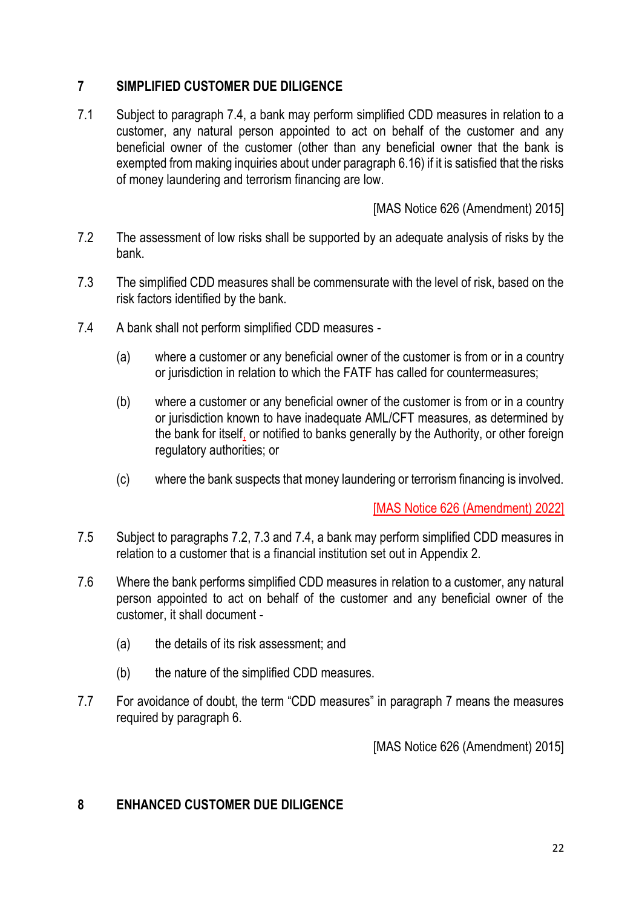# **7 SIMPLIFIED CUSTOMER DUE DILIGENCE**

7.1 Subject to paragraph 7.4, a bank may perform simplified CDD measures in relation to a customer, any natural person appointed to act on behalf of the customer and any beneficial owner of the customer (other than any beneficial owner that the bank is exempted from making inquiries about under paragraph 6.16) if it is satisfied that the risks of money laundering and terrorism financing are low.

[MAS Notice 626 (Amendment) 2015]

- 7.2 The assessment of low risks shall be supported by an adequate analysis of risks by the bank.
- 7.3 The simplified CDD measures shall be commensurate with the level of risk, based on the risk factors identified by the bank.
- 7.4 A bank shall not perform simplified CDD measures
	- (a) where a customer or any beneficial owner of the customer is from or in a country or jurisdiction in relation to which the FATF has called for countermeasures;
	- (b) where a customer or any beneficial owner of the customer is from or in a country or jurisdiction known to have inadequate AML/CFT measures, as determined by the bank for itself, or notified to banks generally by the Authority, or other foreign regulatory authorities; or
	- (c) where the bank suspects that money laundering or terrorism financing is involved.

[MAS Notice 626 (Amendment) 2022]

- 7.5 Subject to paragraphs 7.2, 7.3 and 7.4, a bank may perform simplified CDD measures in relation to a customer that is a financial institution set out in Appendix 2.
- 7.6 Where the bank performs simplified CDD measures in relation to a customer, any natural person appointed to act on behalf of the customer and any beneficial owner of the customer, it shall document -
	- (a) the details of its risk assessment; and
	- (b) the nature of the simplified CDD measures.
- 7.7 For avoidance of doubt, the term "CDD measures" in paragraph 7 means the measures required by paragraph 6.

[MAS Notice 626 (Amendment) 2015]

## **8 ENHANCED CUSTOMER DUE DILIGENCE**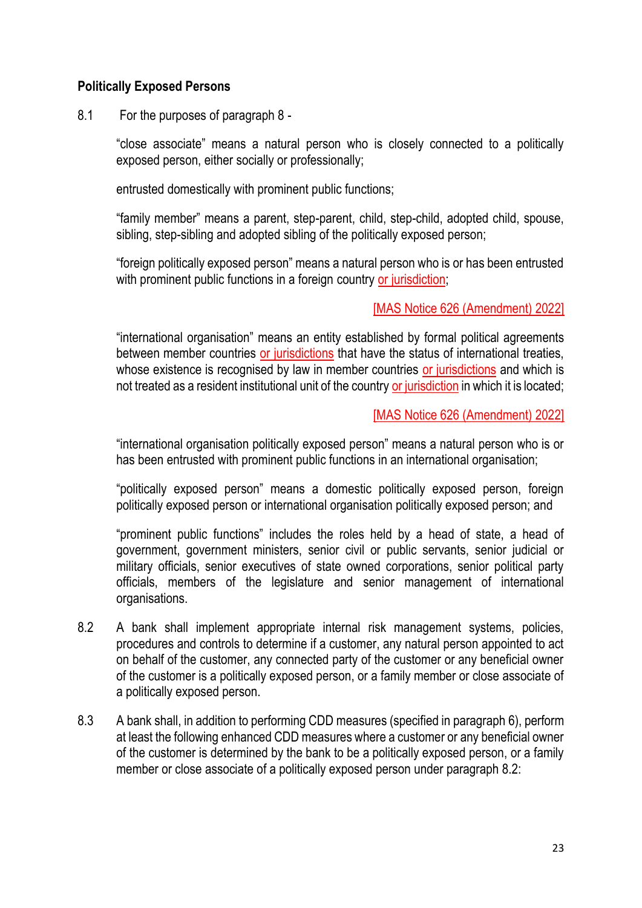### **Politically Exposed Persons**

8.1 For the purposes of paragraph 8 -

"close associate" means a natural person who is closely connected to a politically exposed person, either socially or professionally;

entrusted domestically with prominent public functions;

"family member" means a parent, step-parent, child, step-child, adopted child, spouse, sibling, step-sibling and adopted sibling of the politically exposed person;

"foreign politically exposed person" means a natural person who is or has been entrusted with prominent public functions in a foreign country or jurisdiction;

### [MAS Notice 626 (Amendment) 2022]

"international organisation" means an entity established by formal political agreements between member countries or jurisdictions that have the status of international treaties, whose existence is recognised by law in member countries or jurisdictions and which is not treated as a resident institutional unit of the country or jurisdiction in which it is located;

### [MAS Notice 626 (Amendment) 2022]

"international organisation politically exposed person" means a natural person who is or has been entrusted with prominent public functions in an international organisation;

"politically exposed person" means a domestic politically exposed person, foreign politically exposed person or international organisation politically exposed person; and

"prominent public functions" includes the roles held by a head of state, a head of government, government ministers, senior civil or public servants, senior judicial or military officials, senior executives of state owned corporations, senior political party officials, members of the legislature and senior management of international organisations.

- 8.2 A bank shall implement appropriate internal risk management systems, policies, procedures and controls to determine if a customer, any natural person appointed to act on behalf of the customer, any connected party of the customer or any beneficial owner of the customer is a politically exposed person, or a family member or close associate of a politically exposed person.
- 8.3 A bank shall, in addition to performing CDD measures (specified in paragraph 6), perform at least the following enhanced CDD measures where a customer or any beneficial owner of the customer is determined by the bank to be a politically exposed person, or a family member or close associate of a politically exposed person under paragraph 8.2: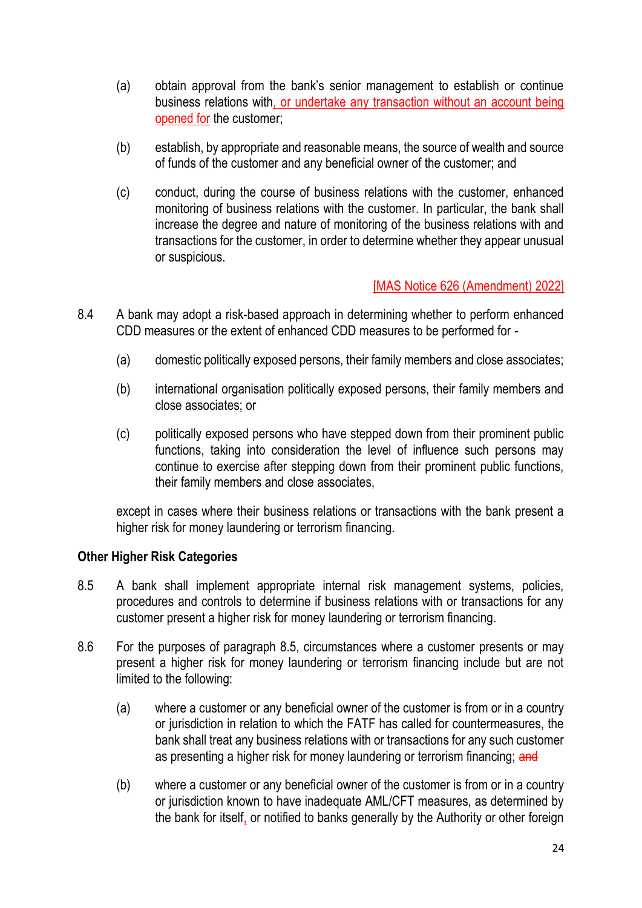- (a) obtain approval from the bank's senior management to establish or continue business relations with, or undertake any transaction without an account being opened for the customer;
- (b) establish, by appropriate and reasonable means, the source of wealth and source of funds of the customer and any beneficial owner of the customer; and
- (c) conduct, during the course of business relations with the customer, enhanced monitoring of business relations with the customer. In particular, the bank shall increase the degree and nature of monitoring of the business relations with and transactions for the customer, in order to determine whether they appear unusual or suspicious.

- 8.4 A bank may adopt a risk-based approach in determining whether to perform enhanced CDD measures or the extent of enhanced CDD measures to be performed for -
	- (a) domestic politically exposed persons, their family members and close associates;
	- (b) international organisation politically exposed persons, their family members and close associates; or
	- (c) politically exposed persons who have stepped down from their prominent public functions, taking into consideration the level of influence such persons may continue to exercise after stepping down from their prominent public functions, their family members and close associates,

except in cases where their business relations or transactions with the bank present a higher risk for money laundering or terrorism financing.

### **Other Higher Risk Categories**

- 8.5 A bank shall implement appropriate internal risk management systems, policies, procedures and controls to determine if business relations with or transactions for any customer present a higher risk for money laundering or terrorism financing.
- 8.6 For the purposes of paragraph 8.5, circumstances where a customer presents or may present a higher risk for money laundering or terrorism financing include but are not limited to the following:
	- (a) where a customer or any beneficial owner of the customer is from or in a country or jurisdiction in relation to which the FATF has called for countermeasures, the bank shall treat any business relations with or transactions for any such customer as presenting a higher risk for money laundering or terrorism financing; and
	- (b) where a customer or any beneficial owner of the customer is from or in a country or jurisdiction known to have inadequate AML/CFT measures, as determined by the bank for itself, or notified to banks generally by the Authority or other foreign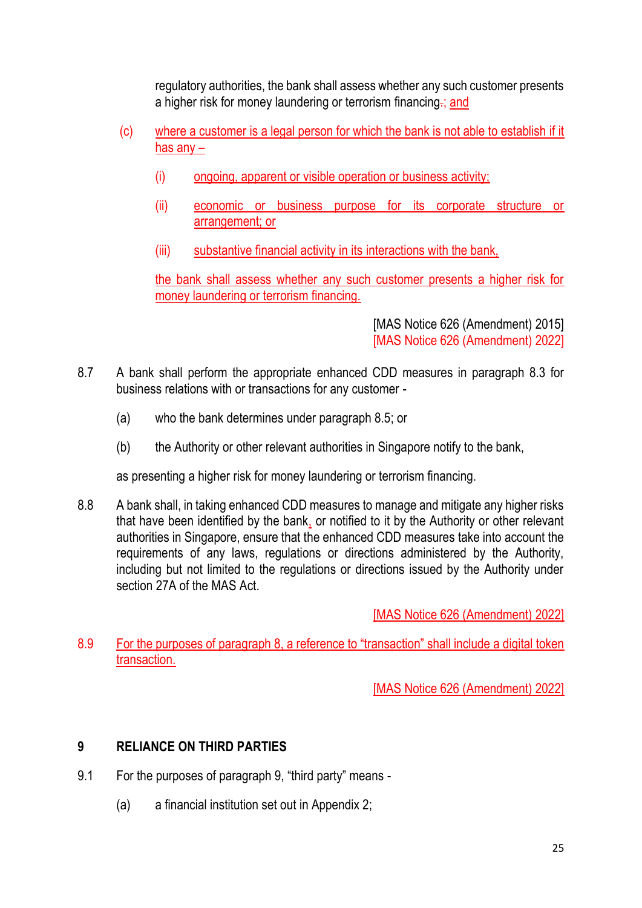regulatory authorities, the bank shall assess whether any such customer presents a higher risk for money laundering or terrorism financing.; and

- (c) where a customer is a legal person for which the bank is not able to establish if it has any –
	- (i) ongoing, apparent or visible operation or business activity;
	- (ii) economic or business purpose for its corporate structure or arrangement; or
	- (iii) substantive financial activity in its interactions with the bank,

the bank shall assess whether any such customer presents a higher risk for money laundering or terrorism financing.

> [MAS Notice 626 (Amendment) 2015] [MAS Notice 626 (Amendment) 2022]

- 8.7 A bank shall perform the appropriate enhanced CDD measures in paragraph 8.3 for business relations with or transactions for any customer -
	- (a) who the bank determines under paragraph 8.5; or
	- (b) the Authority or other relevant authorities in Singapore notify to the bank,

as presenting a higher risk for money laundering or terrorism financing.

8.8 A bank shall, in taking enhanced CDD measures to manage and mitigate any higher risks that have been identified by the bank, or notified to it by the Authority or other relevant authorities in Singapore, ensure that the enhanced CDD measures take into account the requirements of any laws, regulations or directions administered by the Authority, including but not limited to the regulations or directions issued by the Authority under section 27A of the MAS Act.

[MAS Notice 626 (Amendment) 2022]

8.9 For the purposes of paragraph 8, a reference to "transaction" shall include a digital token transaction.

[MAS Notice 626 (Amendment) 2022]

# **9 RELIANCE ON THIRD PARTIES**

- 9.1 For the purposes of paragraph 9, "third party" means
	- (a) a financial institution set out in Appendix 2;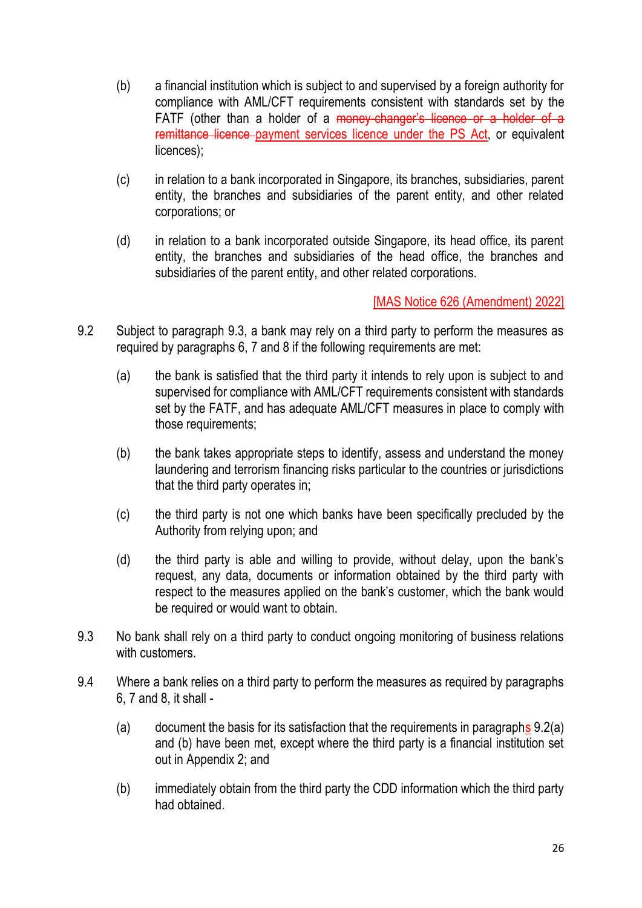- (b) a financial institution which is subject to and supervised by a foreign authority for compliance with AML/CFT requirements consistent with standards set by the FATF (other than a holder of a money-changer's licence or a holder of a remittance licence payment services licence under the PS Act, or equivalent licences);
- (c) in relation to a bank incorporated in Singapore, its branches, subsidiaries, parent entity, the branches and subsidiaries of the parent entity, and other related corporations; or
- (d) in relation to a bank incorporated outside Singapore, its head office, its parent entity, the branches and subsidiaries of the head office, the branches and subsidiaries of the parent entity, and other related corporations.

- 9.2 Subject to paragraph 9.3, a bank may rely on a third party to perform the measures as required by paragraphs 6, 7 and 8 if the following requirements are met:
	- (a) the bank is satisfied that the third party it intends to rely upon is subject to and supervised for compliance with AML/CFT requirements consistent with standards set by the FATF, and has adequate AML/CFT measures in place to comply with those requirements;
	- (b) the bank takes appropriate steps to identify, assess and understand the money laundering and terrorism financing risks particular to the countries or jurisdictions that the third party operates in;
	- (c) the third party is not one which banks have been specifically precluded by the Authority from relying upon; and
	- (d) the third party is able and willing to provide, without delay, upon the bank's request, any data, documents or information obtained by the third party with respect to the measures applied on the bank's customer, which the bank would be required or would want to obtain.
- 9.3 No bank shall rely on a third party to conduct ongoing monitoring of business relations with customers.
- 9.4 Where a bank relies on a third party to perform the measures as required by paragraphs 6, 7 and 8, it shall -
	- (a) document the basis for its satisfaction that the requirements in paragraphs  $9.2(a)$ and (b) have been met, except where the third party is a financial institution set out in Appendix 2; and
	- (b) immediately obtain from the third party the CDD information which the third party had obtained.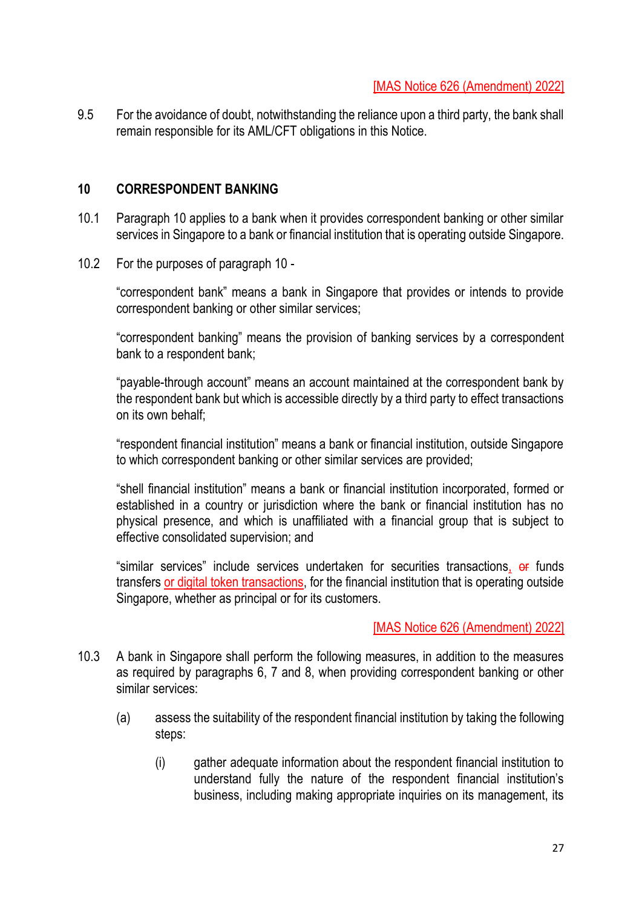9.5 For the avoidance of doubt, notwithstanding the reliance upon a third party, the bank shall remain responsible for its AML/CFT obligations in this Notice.

### **10 CORRESPONDENT BANKING**

- 10.1 Paragraph 10 applies to a bank when it provides correspondent banking or other similar services in Singapore to a bank or financial institution that is operating outside Singapore.
- 10.2 For the purposes of paragraph 10 -

"correspondent bank" means a bank in Singapore that provides or intends to provide correspondent banking or other similar services;

"correspondent banking" means the provision of banking services by a correspondent bank to a respondent bank;

"payable-through account" means an account maintained at the correspondent bank by the respondent bank but which is accessible directly by a third party to effect transactions on its own behalf;

"respondent financial institution" means a bank or financial institution, outside Singapore to which correspondent banking or other similar services are provided;

"shell financial institution" means a bank or financial institution incorporated, formed or established in a country or jurisdiction where the bank or financial institution has no physical presence, and which is unaffiliated with a financial group that is subject to effective consolidated supervision; and

"similar services" include services undertaken for securities transactions, or funds transfers or digital token transactions, for the financial institution that is operating outside Singapore, whether as principal or for its customers.

- 10.3 A bank in Singapore shall perform the following measures, in addition to the measures as required by paragraphs 6, 7 and 8, when providing correspondent banking or other similar services:
	- (a) assess the suitability of the respondent financial institution by taking the following steps:
		- (i) gather adequate information about the respondent financial institution to understand fully the nature of the respondent financial institution's business, including making appropriate inquiries on its management, its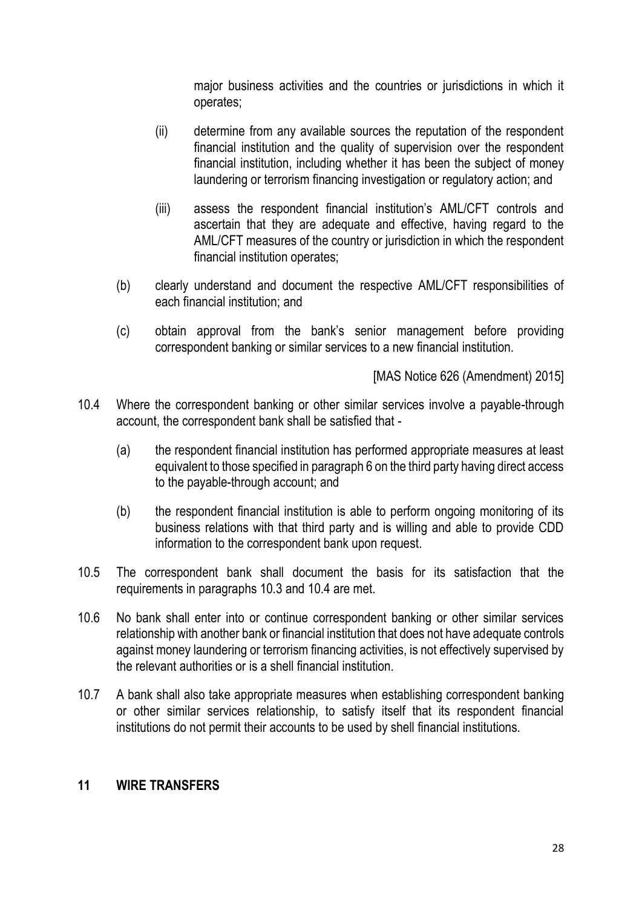major business activities and the countries or jurisdictions in which it operates;

- (ii) determine from any available sources the reputation of the respondent financial institution and the quality of supervision over the respondent financial institution, including whether it has been the subject of money laundering or terrorism financing investigation or regulatory action; and
- (iii) assess the respondent financial institution's AML/CFT controls and ascertain that they are adequate and effective, having regard to the AML/CFT measures of the country or jurisdiction in which the respondent financial institution operates;
- (b) clearly understand and document the respective AML/CFT responsibilities of each financial institution; and
- (c) obtain approval from the bank's senior management before providing correspondent banking or similar services to a new financial institution.

[MAS Notice 626 (Amendment) 2015]

- 10.4 Where the correspondent banking or other similar services involve a payable-through account, the correspondent bank shall be satisfied that -
	- (a) the respondent financial institution has performed appropriate measures at least equivalent to those specified in paragraph 6 on the third party having direct access to the payable-through account; and
	- (b) the respondent financial institution is able to perform ongoing monitoring of its business relations with that third party and is willing and able to provide CDD information to the correspondent bank upon request.
- 10.5 The correspondent bank shall document the basis for its satisfaction that the requirements in paragraphs 10.3 and 10.4 are met.
- 10.6 No bank shall enter into or continue correspondent banking or other similar services relationship with another bank or financial institution that does not have adequate controls against money laundering or terrorism financing activities, is not effectively supervised by the relevant authorities or is a shell financial institution.
- 10.7 A bank shall also take appropriate measures when establishing correspondent banking or other similar services relationship, to satisfy itself that its respondent financial institutions do not permit their accounts to be used by shell financial institutions.

### **11 WIRE TRANSFERS**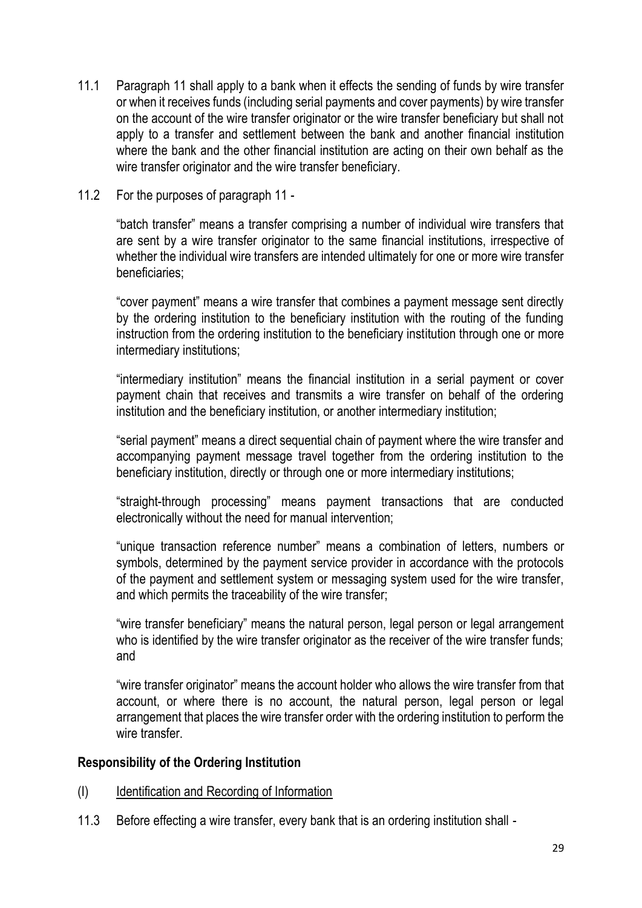- 11.1 Paragraph 11 shall apply to a bank when it effects the sending of funds by wire transfer or when it receives funds (including serial payments and cover payments) by wire transfer on the account of the wire transfer originator or the wire transfer beneficiary but shall not apply to a transfer and settlement between the bank and another financial institution where the bank and the other financial institution are acting on their own behalf as the wire transfer originator and the wire transfer beneficiary.
- 11.2 For the purposes of paragraph 11 -

"batch transfer" means a transfer comprising a number of individual wire transfers that are sent by a wire transfer originator to the same financial institutions, irrespective of whether the individual wire transfers are intended ultimately for one or more wire transfer beneficiaries;

"cover payment" means a wire transfer that combines a payment message sent directly by the ordering institution to the beneficiary institution with the routing of the funding instruction from the ordering institution to the beneficiary institution through one or more intermediary institutions;

"intermediary institution" means the financial institution in a serial payment or cover payment chain that receives and transmits a wire transfer on behalf of the ordering institution and the beneficiary institution, or another intermediary institution;

"serial payment" means a direct sequential chain of payment where the wire transfer and accompanying payment message travel together from the ordering institution to the beneficiary institution, directly or through one or more intermediary institutions;

"straight-through processing" means payment transactions that are conducted electronically without the need for manual intervention;

"unique transaction reference number" means a combination of letters, numbers or symbols, determined by the payment service provider in accordance with the protocols of the payment and settlement system or messaging system used for the wire transfer, and which permits the traceability of the wire transfer;

"wire transfer beneficiary" means the natural person, legal person or legal arrangement who is identified by the wire transfer originator as the receiver of the wire transfer funds; and

"wire transfer originator" means the account holder who allows the wire transfer from that account, or where there is no account, the natural person, legal person or legal arrangement that places the wire transfer order with the ordering institution to perform the wire transfer.

### **Responsibility of the Ordering Institution**

- (I) Identification and Recording of Information
- 11.3 Before effecting a wire transfer, every bank that is an ordering institution shall -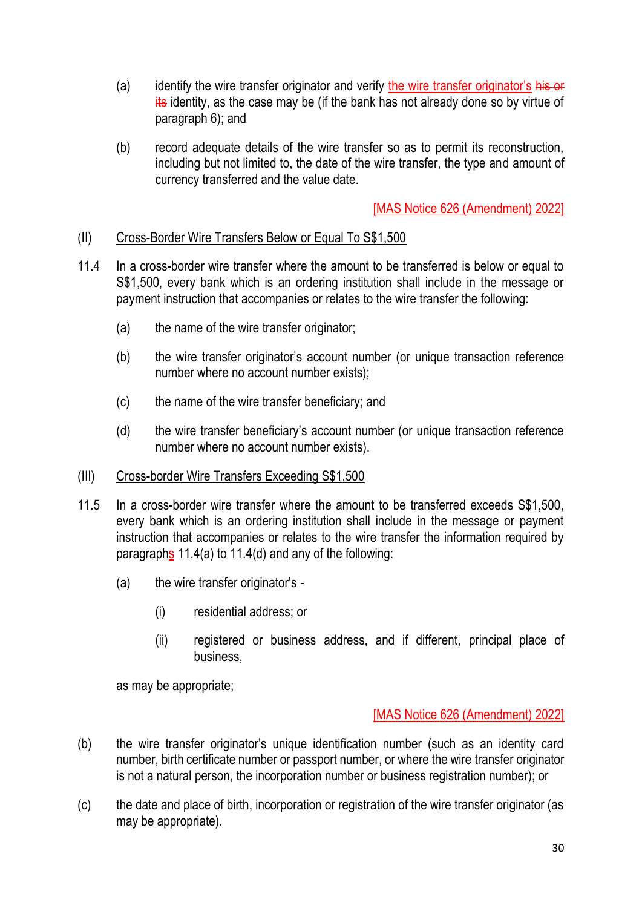- (a) identify the wire transfer originator and verify the wire transfer originator's his or its identity, as the case may be (if the bank has not already done so by virtue of paragraph 6); and
- (b) record adequate details of the wire transfer so as to permit its reconstruction, including but not limited to, the date of the wire transfer, the type and amount of currency transferred and the value date.

### (II) Cross-Border Wire Transfers Below or Equal To S\$1,500

- 11.4 In a cross-border wire transfer where the amount to be transferred is below or equal to S\$1,500, every bank which is an ordering institution shall include in the message or payment instruction that accompanies or relates to the wire transfer the following:
	- (a) the name of the wire transfer originator;
	- (b) the wire transfer originator's account number (or unique transaction reference number where no account number exists);
	- (c) the name of the wire transfer beneficiary; and
	- (d) the wire transfer beneficiary's account number (or unique transaction reference number where no account number exists).

#### (III) Cross-border Wire Transfers Exceeding S\$1,500

- 11.5 In a cross-border wire transfer where the amount to be transferred exceeds S\$1,500, every bank which is an ordering institution shall include in the message or payment instruction that accompanies or relates to the wire transfer the information required by paragraphs 11.4(a) to 11.4(d) and any of the following:
	- (a) the wire transfer originator's
		- (i) residential address; or
		- (ii) registered or business address, and if different, principal place of business,

as may be appropriate;

- (b) the wire transfer originator's unique identification number (such as an identity card number, birth certificate number or passport number, or where the wire transfer originator is not a natural person, the incorporation number or business registration number); or
- (c) the date and place of birth, incorporation or registration of the wire transfer originator (as may be appropriate).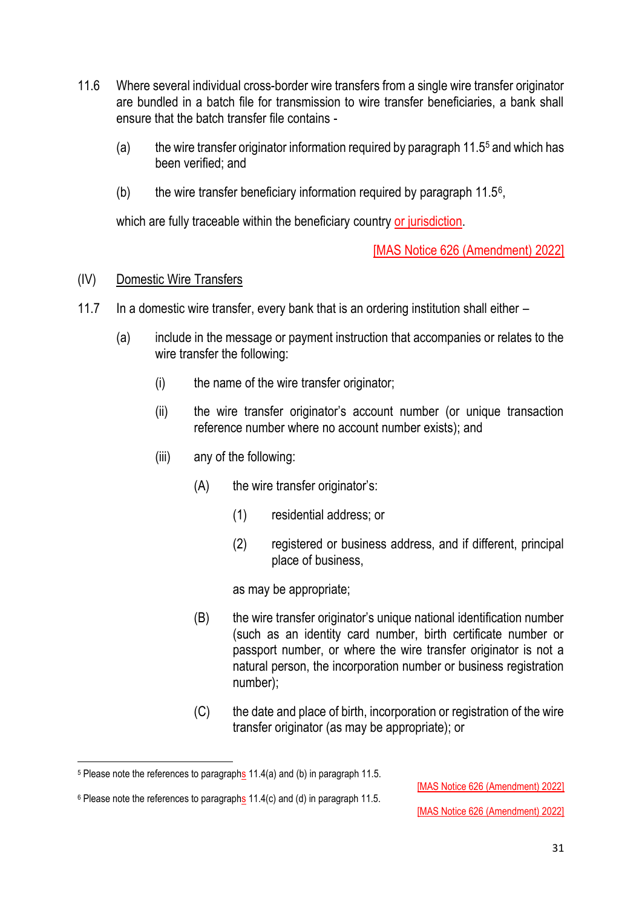- 11.6 Where several individual cross-border wire transfers from a single wire transfer originator are bundled in a batch file for transmission to wire transfer beneficiaries, a bank shall ensure that the batch transfer file contains -
	- (a) the wire transfer originator information required by paragraph 11.5<sup>5</sup> and which has been verified; and
	- (b) the wire transfer beneficiary information required by paragraph  $11.5^{\circ}$ ,

which are fully traceable within the beneficiary country or jurisdiction.

[MAS Notice 626 (Amendment) 2022]

### (IV) Domestic Wire Transfers

- 11.7 In a domestic wire transfer, every bank that is an ordering institution shall either
	- (a) include in the message or payment instruction that accompanies or relates to the wire transfer the following:
		- (i) the name of the wire transfer originator;
		- (ii) the wire transfer originator's account number (or unique transaction reference number where no account number exists); and
		- (iii) any of the following:
			- (A) the wire transfer originator's:
				- (1) residential address; or
				- (2) registered or business address, and if different, principal place of business,

as may be appropriate;

- (B) the wire transfer originator's unique national identification number (such as an identity card number, birth certificate number or passport number, or where the wire transfer originator is not a natural person, the incorporation number or business registration number);
- (C) the date and place of birth, incorporation or registration of the wire transfer originator (as may be appropriate); or

<sup>5</sup> Please note the references to paragraphs 11.4(a) and (b) in paragraph 11.5.

<sup>[</sup>MAS Notice 626 (Amendment) 2022]

 $6$  Please note the references to paragraphs 11.4(c) and (d) in paragraph 11.5.

<sup>[</sup>MAS Notice 626 (Amendment) 2022]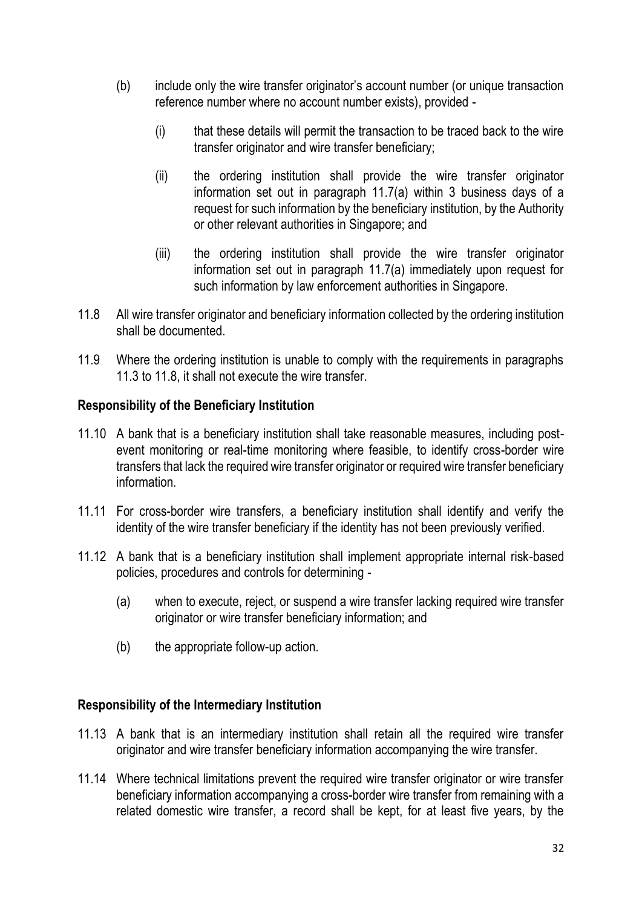- (b) include only the wire transfer originator's account number (or unique transaction reference number where no account number exists), provided -
	- (i) that these details will permit the transaction to be traced back to the wire transfer originator and wire transfer beneficiary;
	- (ii) the ordering institution shall provide the wire transfer originator information set out in paragraph 11.7(a) within 3 business days of a request for such information by the beneficiary institution, by the Authority or other relevant authorities in Singapore; and
	- (iii) the ordering institution shall provide the wire transfer originator information set out in paragraph 11.7(a) immediately upon request for such information by law enforcement authorities in Singapore.
- 11.8 All wire transfer originator and beneficiary information collected by the ordering institution shall be documented.
- 11.9 Where the ordering institution is unable to comply with the requirements in paragraphs 11.3 to 11.8, it shall not execute the wire transfer.

## **Responsibility of the Beneficiary Institution**

- 11.10 A bank that is a beneficiary institution shall take reasonable measures, including postevent monitoring or real-time monitoring where feasible, to identify cross-border wire transfers that lack the required wire transfer originator or required wire transfer beneficiary information.
- 11.11 For cross-border wire transfers, a beneficiary institution shall identify and verify the identity of the wire transfer beneficiary if the identity has not been previously verified.
- 11.12 A bank that is a beneficiary institution shall implement appropriate internal risk-based policies, procedures and controls for determining -
	- (a) when to execute, reject, or suspend a wire transfer lacking required wire transfer originator or wire transfer beneficiary information; and
	- (b) the appropriate follow-up action.

### **Responsibility of the Intermediary Institution**

- 11.13 A bank that is an intermediary institution shall retain all the required wire transfer originator and wire transfer beneficiary information accompanying the wire transfer.
- 11.14 Where technical limitations prevent the required wire transfer originator or wire transfer beneficiary information accompanying a cross-border wire transfer from remaining with a related domestic wire transfer, a record shall be kept, for at least five years, by the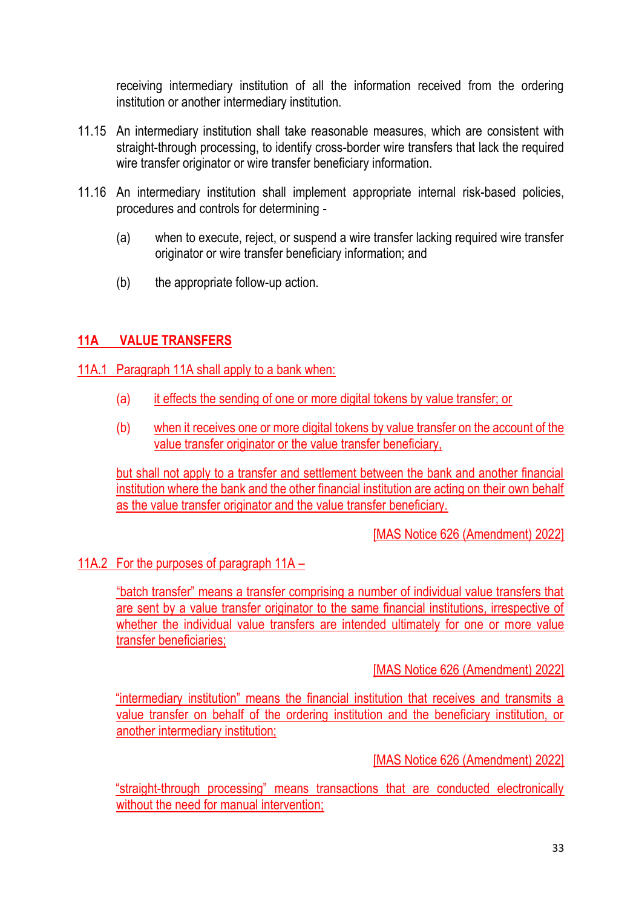receiving intermediary institution of all the information received from the ordering institution or another intermediary institution.

- 11.15 An intermediary institution shall take reasonable measures, which are consistent with straight-through processing, to identify cross-border wire transfers that lack the required wire transfer originator or wire transfer beneficiary information.
- 11.16 An intermediary institution shall implement appropriate internal risk-based policies, procedures and controls for determining -
	- (a) when to execute, reject, or suspend a wire transfer lacking required wire transfer originator or wire transfer beneficiary information; and
	- (b) the appropriate follow-up action.

# **11A VALUE TRANSFERS**

### 11A.1 Paragraph 11A shall apply to a bank when:

- (a) it effects the sending of one or more digital tokens by value transfer; or
- (b) when it receives one or more digital tokens by value transfer on the account of the value transfer originator or the value transfer beneficiary,

but shall not apply to a transfer and settlement between the bank and another financial institution where the bank and the other financial institution are acting on their own behalf as the value transfer originator and the value transfer beneficiary.

[MAS Notice 626 (Amendment) 2022]

## 11A.2 For the purposes of paragraph 11A –

"batch transfer" means a transfer comprising a number of individual value transfers that are sent by a value transfer originator to the same financial institutions, irrespective of whether the individual value transfers are intended ultimately for one or more value transfer beneficiaries;

### [MAS Notice 626 (Amendment) 2022]

"intermediary institution" means the financial institution that receives and transmits a value transfer on behalf of the ordering institution and the beneficiary institution, or another intermediary institution;

[MAS Notice 626 (Amendment) 2022]

"straight-through processing" means transactions that are conducted electronically without the need for manual intervention;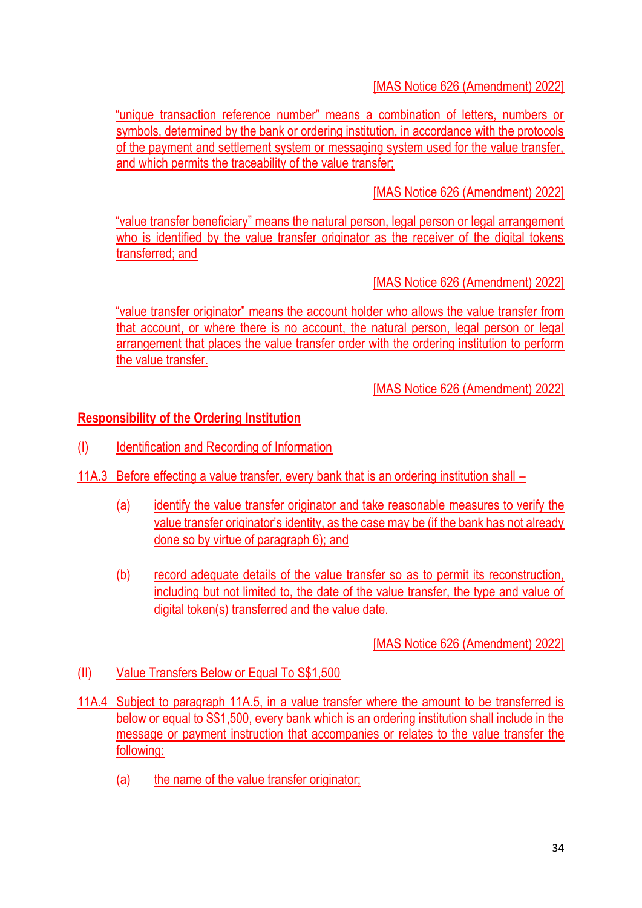"unique transaction reference number" means a combination of letters, numbers or symbols, determined by the bank or ordering institution, in accordance with the protocols of the payment and settlement system or messaging system used for the value transfer, and which permits the traceability of the value transfer;

[MAS Notice 626 (Amendment) 2022]

"value transfer beneficiary" means the natural person, legal person or legal arrangement who is identified by the value transfer originator as the receiver of the digital tokens transferred; and

[MAS Notice 626 (Amendment) 2022]

"value transfer originator" means the account holder who allows the value transfer from that account, or where there is no account, the natural person, legal person or legal arrangement that places the value transfer order with the ordering institution to perform the value transfer.

[MAS Notice 626 (Amendment) 2022]

### **Responsibility of the Ordering Institution**

- (I) Identification and Recording of Information
- 11A.3 Before effecting a value transfer, every bank that is an ordering institution shall
	- (a) identify the value transfer originator and take reasonable measures to verify the value transfer originator's identity, as the case may be (if the bank has not already done so by virtue of paragraph 6); and
	- (b) record adequate details of the value transfer so as to permit its reconstruction, including but not limited to, the date of the value transfer, the type and value of digital token(s) transferred and the value date.

- (II) Value Transfers Below or Equal To S\$1,500
- 11A.4 Subject to paragraph 11A.5, in a value transfer where the amount to be transferred is below or equal to S\$1,500, every bank which is an ordering institution shall include in the message or payment instruction that accompanies or relates to the value transfer the following:
	- (a) the name of the value transfer originator;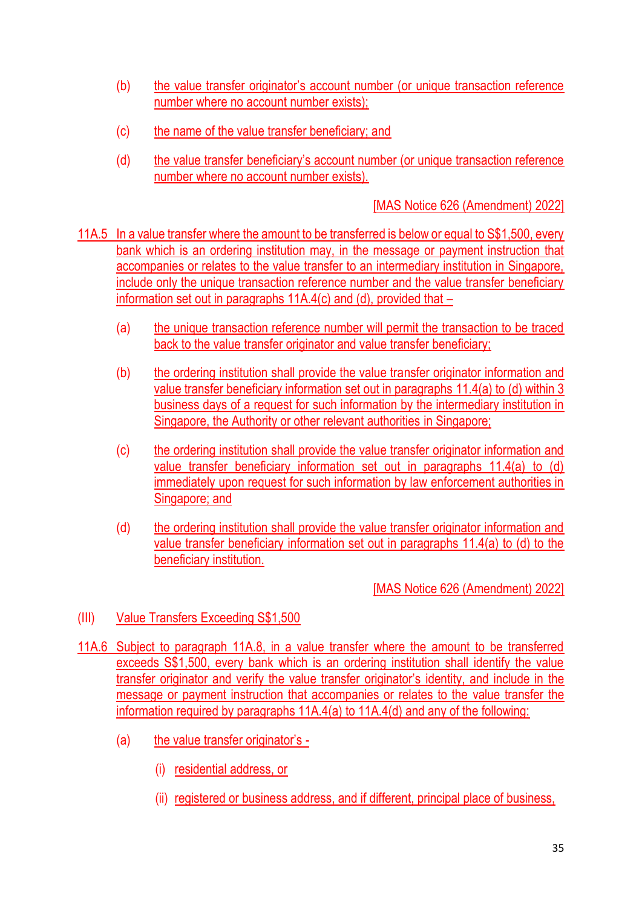- (b) the value transfer originator's account number (or unique transaction reference number where no account number exists);
- (c) the name of the value transfer beneficiary; and
- (d) the value transfer beneficiary's account number (or unique transaction reference number where no account number exists).

- 11A.5 In a value transfer where the amount to be transferred is below or equal to S\$1,500, every bank which is an ordering institution may, in the message or payment instruction that accompanies or relates to the value transfer to an intermediary institution in Singapore, include only the unique transaction reference number and the value transfer beneficiary information set out in paragraphs 11A.4(c) and (d), provided that –
	- (a) the unique transaction reference number will permit the transaction to be traced back to the value transfer originator and value transfer beneficiary;
	- (b) the ordering institution shall provide the value transfer originator information and value transfer beneficiary information set out in paragraphs 11.4(a) to (d) within 3 business days of a request for such information by the intermediary institution in Singapore, the Authority or other relevant authorities in Singapore;
	- (c) the ordering institution shall provide the value transfer originator information and value transfer beneficiary information set out in paragraphs 11.4(a) to (d) immediately upon request for such information by law enforcement authorities in Singapore; and
	- (d) the ordering institution shall provide the value transfer originator information and value transfer beneficiary information set out in paragraphs 11.4(a) to (d) to the beneficiary institution.

- (III) Value Transfers Exceeding S\$1,500
- 11A.6 Subject to paragraph 11A.8, in a value transfer where the amount to be transferred exceeds S\$1,500, every bank which is an ordering institution shall identify the value transfer originator and verify the value transfer originator's identity, and include in the message or payment instruction that accompanies or relates to the value transfer the information required by paragraphs 11A.4(a) to 11A.4(d) and any of the following:
	- (a) the value transfer originator's
		- (i) residential address, or
		- (ii) registered or business address, and if different, principal place of business,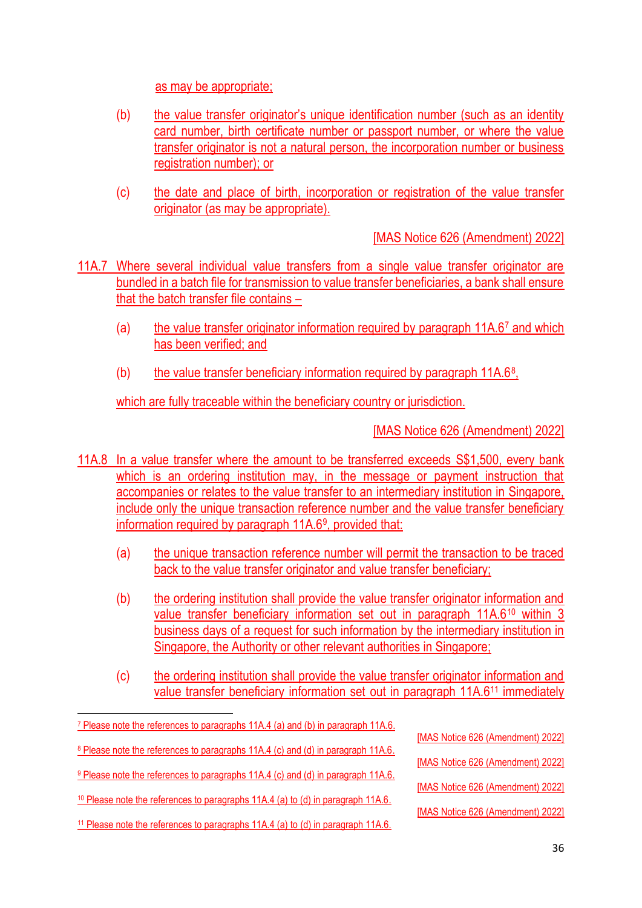as may be appropriate;

- (b) the value transfer originator's unique identification number (such as an identity card number, birth certificate number or passport number, or where the value transfer originator is not a natural person, the incorporation number or business registration number); or
- (c) the date and place of birth, incorporation or registration of the value transfer originator (as may be appropriate).

[MAS Notice 626 (Amendment) 2022]

- 11A.7 Where several individual value transfers from a single value transfer originator are bundled in a batch file for transmission to value transfer beneficiaries, a bank shall ensure that the batch transfer file contains –
	- (a) the value transfer originator information required by paragraph 11A.67 and which has been verified; and
	- (b) the value transfer beneficiary information required by paragraph  $11A.6<sup>8</sup>$ ,

which are fully traceable within the beneficiary country or jurisdiction.

- 11A.8 In a value transfer where the amount to be transferred exceeds S\$1,500, every bank which is an ordering institution may, in the message or payment instruction that accompanies or relates to the value transfer to an intermediary institution in Singapore, include only the unique transaction reference number and the value transfer beneficiary information required by paragraph 11A.6<sup>9</sup>, provided that:
	- (a) the unique transaction reference number will permit the transaction to be traced back to the value transfer originator and value transfer beneficiary;
	- (b) the ordering institution shall provide the value transfer originator information and value transfer beneficiary information set out in paragraph 11A.6<sup>10</sup> within 3 business days of a request for such information by the intermediary institution in Singapore, the Authority or other relevant authorities in Singapore;
	- (c) the ordering institution shall provide the value transfer originator information and value transfer beneficiary information set out in paragraph 11A.6<sup>11</sup> immediately

| <sup>7</sup> Please note the references to paragraphs 11A.4 (a) and (b) in paragraph 11A.6. |                                   |
|---------------------------------------------------------------------------------------------|-----------------------------------|
|                                                                                             | [MAS Notice 626 (Amendment) 2022] |
| <sup>8</sup> Please note the references to paragraphs 11A.4 (c) and (d) in paragraph 11A.6. |                                   |
|                                                                                             | [MAS Notice 626 (Amendment) 2022] |
| <sup>9</sup> Please note the references to paragraphs 11A.4 (c) and (d) in paragraph 11A.6. |                                   |
|                                                                                             | [MAS Notice 626 (Amendment) 2022] |
| <sup>10</sup> Please note the references to paragraphs 11A.4 (a) to (d) in paragraph 11A.6. |                                   |
|                                                                                             | [MAS Notice 626 (Amendment) 2022] |
| <sup>11</sup> Please note the references to paragraphs 11A.4 (a) to (d) in paragraph 11A.6. |                                   |
|                                                                                             |                                   |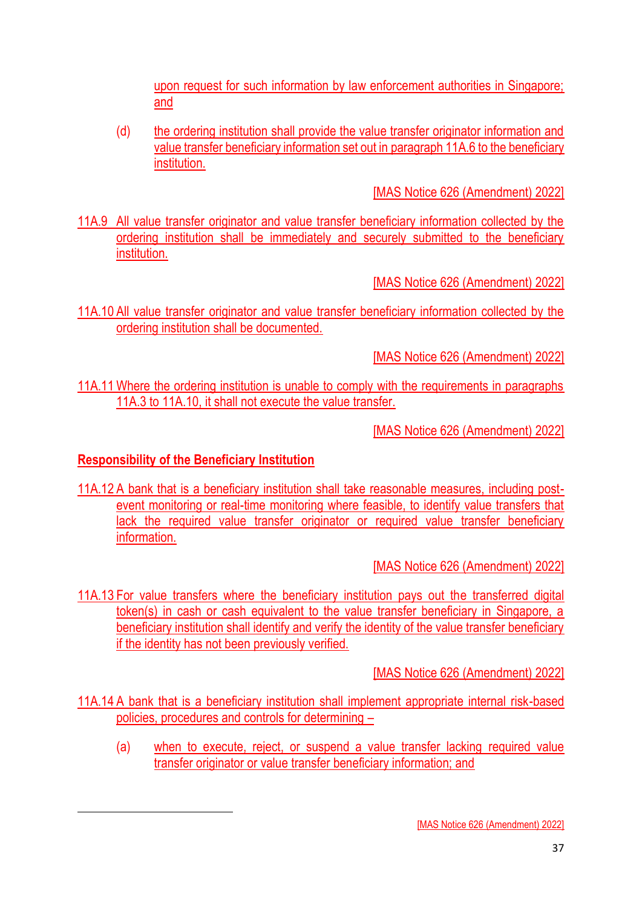upon request for such information by law enforcement authorities in Singapore; and

(d) the ordering institution shall provide the value transfer originator information and value transfer beneficiary information set out in paragraph 11A.6 to the beneficiary institution.

[MAS Notice 626 (Amendment) 2022]

11A.9 All value transfer originator and value transfer beneficiary information collected by the ordering institution shall be immediately and securely submitted to the beneficiary institution.

[MAS Notice 626 (Amendment) 2022]

11A.10 All value transfer originator and value transfer beneficiary information collected by the ordering institution shall be documented.

[MAS Notice 626 (Amendment) 2022]

11A.11 Where the ordering institution is unable to comply with the requirements in paragraphs 11A.3 to 11A.10, it shall not execute the value transfer.

[MAS Notice 626 (Amendment) 2022]

## **Responsibility of the Beneficiary Institution**

11A.12 A bank that is a beneficiary institution shall take reasonable measures, including postevent monitoring or real-time monitoring where feasible, to identify value transfers that lack the required value transfer originator or required value transfer beneficiary information.

[MAS Notice 626 (Amendment) 2022]

11A.13 For value transfers where the beneficiary institution pays out the transferred digital token(s) in cash or cash equivalent to the value transfer beneficiary in Singapore, a beneficiary institution shall identify and verify the identity of the value transfer beneficiary if the identity has not been previously verified.

- 11A.14 A bank that is a beneficiary institution shall implement appropriate internal risk-based policies, procedures and controls for determining –
	- (a) when to execute, reject, or suspend a value transfer lacking required value transfer originator or value transfer beneficiary information; and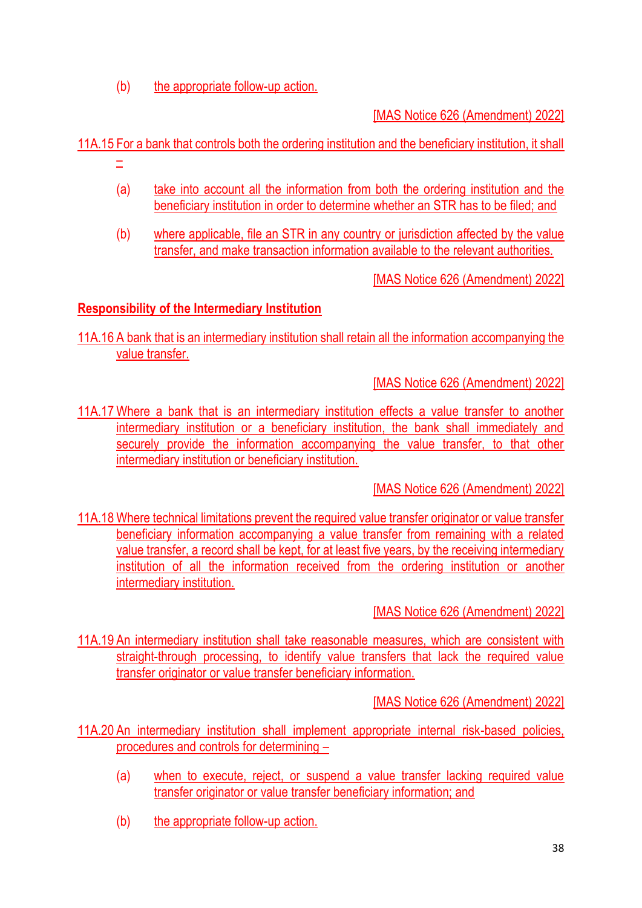(b) the appropriate follow-up action.

[MAS Notice 626 (Amendment) 2022]

11A.15 For a bank that controls both the ordering institution and the beneficiary institution, it shall

- –
- (a) take into account all the information from both the ordering institution and the beneficiary institution in order to determine whether an STR has to be filed; and
- (b) where applicable, file an STR in any country or jurisdiction affected by the value transfer, and make transaction information available to the relevant authorities.

[MAS Notice 626 (Amendment) 2022]

# **Responsibility of the Intermediary Institution**

11A.16 A bank that is an intermediary institution shall retain all the information accompanying the value transfer.

[MAS Notice 626 (Amendment) 2022]

11A.17 Where a bank that is an intermediary institution effects a value transfer to another intermediary institution or a beneficiary institution, the bank shall immediately and securely provide the information accompanying the value transfer, to that other intermediary institution or beneficiary institution.

[MAS Notice 626 (Amendment) 2022]

11A.18 Where technical limitations prevent the required value transfer originator or value transfer beneficiary information accompanying a value transfer from remaining with a related value transfer, a record shall be kept, for at least five years, by the receiving intermediary institution of all the information received from the ordering institution or another intermediary institution.

[MAS Notice 626 (Amendment) 2022]

11A.19 An intermediary institution shall take reasonable measures, which are consistent with straight-through processing, to identify value transfers that lack the required value transfer originator or value transfer beneficiary information.

- 11A.20 An intermediary institution shall implement appropriate internal risk-based policies, procedures and controls for determining –
	- (a) when to execute, reject, or suspend a value transfer lacking required value transfer originator or value transfer beneficiary information; and
	- (b) the appropriate follow-up action.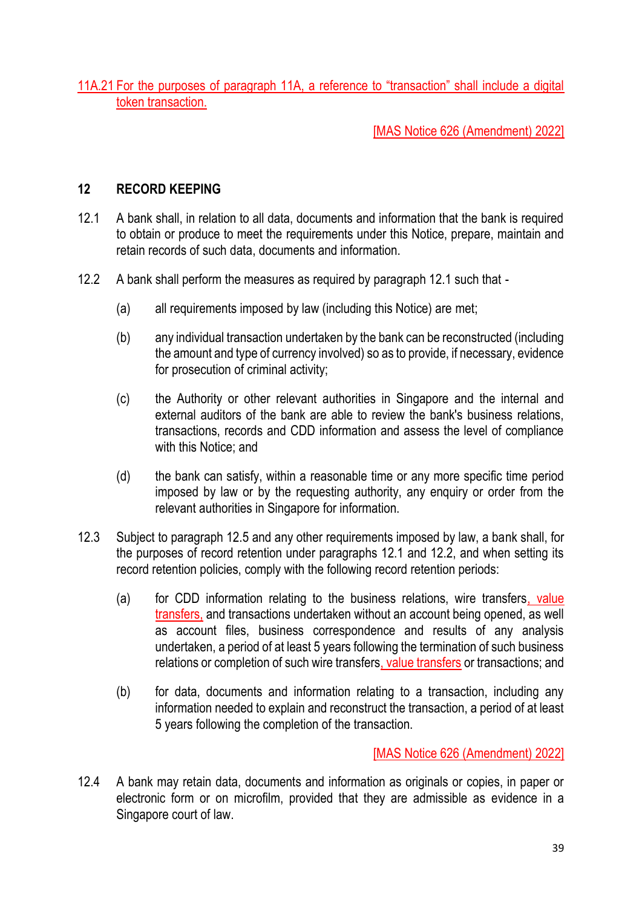11A.21 For the purposes of paragraph 11A, a reference to "transaction" shall include a digital token transaction.

[MAS Notice 626 (Amendment) 2022]

### **12 RECORD KEEPING**

- 12.1 A bank shall, in relation to all data, documents and information that the bank is required to obtain or produce to meet the requirements under this Notice, prepare, maintain and retain records of such data, documents and information.
- 12.2 A bank shall perform the measures as required by paragraph 12.1 such that
	- (a) all requirements imposed by law (including this Notice) are met;
	- (b) any individual transaction undertaken by the bank can be reconstructed (including the amount and type of currency involved) so as to provide, if necessary, evidence for prosecution of criminal activity;
	- (c) the Authority or other relevant authorities in Singapore and the internal and external auditors of the bank are able to review the bank's business relations, transactions, records and CDD information and assess the level of compliance with this Notice; and
	- (d) the bank can satisfy, within a reasonable time or any more specific time period imposed by law or by the requesting authority, any enquiry or order from the relevant authorities in Singapore for information.
- 12.3 Subject to paragraph 12.5 and any other requirements imposed by law, a bank shall, for the purposes of record retention under paragraphs 12.1 and 12.2, and when setting its record retention policies, comply with the following record retention periods:
	- (a) for CDD information relating to the business relations, wire transfers, value transfers, and transactions undertaken without an account being opened, as well as account files, business correspondence and results of any analysis undertaken, a period of at least 5 years following the termination of such business relations or completion of such wire transfers, value transfers or transactions; and
	- (b) for data, documents and information relating to a transaction, including any information needed to explain and reconstruct the transaction, a period of at least 5 years following the completion of the transaction.

[MAS Notice 626 (Amendment) 2022]

12.4 A bank may retain data, documents and information as originals or copies, in paper or electronic form or on microfilm, provided that they are admissible as evidence in a Singapore court of law.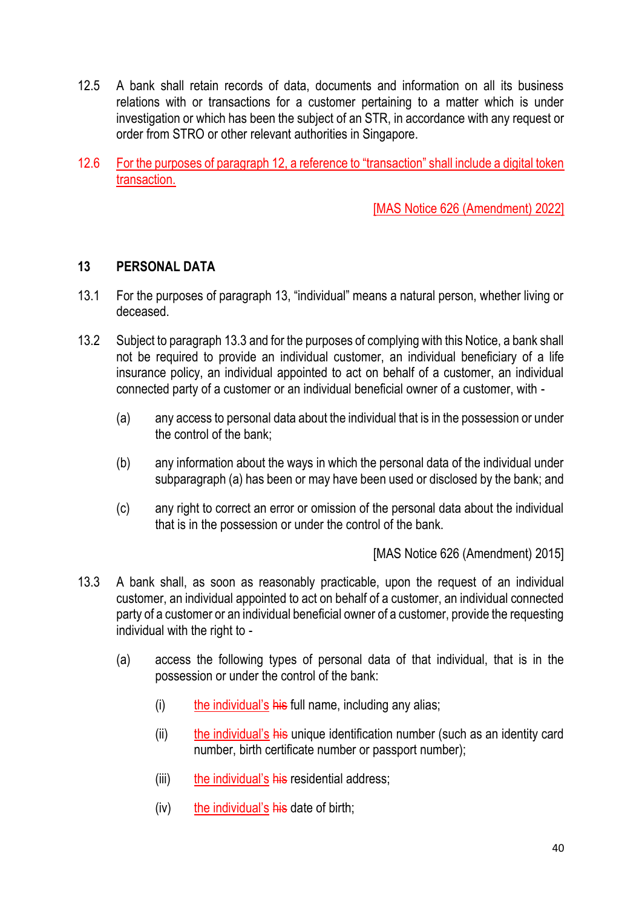- 12.5 A bank shall retain records of data, documents and information on all its business relations with or transactions for a customer pertaining to a matter which is under investigation or which has been the subject of an STR, in accordance with any request or order from STRO or other relevant authorities in Singapore.
- 12.6 For the purposes of paragraph 12, a reference to "transaction" shall include a digital token transaction.

### **13 PERSONAL DATA**

- 13.1 For the purposes of paragraph 13, "individual" means a natural person, whether living or deceased.
- 13.2 Subject to paragraph 13.3 and for the purposes of complying with this Notice, a bank shall not be required to provide an individual customer, an individual beneficiary of a life insurance policy, an individual appointed to act on behalf of a customer, an individual connected party of a customer or an individual beneficial owner of a customer, with -
	- (a) any access to personal data about the individual that is in the possession or under the control of the bank;
	- (b) any information about the ways in which the personal data of the individual under subparagraph (a) has been or may have been used or disclosed by the bank; and
	- (c) any right to correct an error or omission of the personal data about the individual that is in the possession or under the control of the bank.

- 13.3 A bank shall, as soon as reasonably practicable, upon the request of an individual customer, an individual appointed to act on behalf of a customer, an individual connected party of a customer or an individual beneficial owner of a customer, provide the requesting individual with the right to -
	- (a) access the following types of personal data of that individual, that is in the possession or under the control of the bank:
		- $(i)$  the individual's his full name, including any alias;
		- (ii) the individual's his unique identification number (such as an identity card number, birth certificate number or passport number);
		- (iii) the individual's his residential address;
		- $(iv)$  the individual's his date of birth;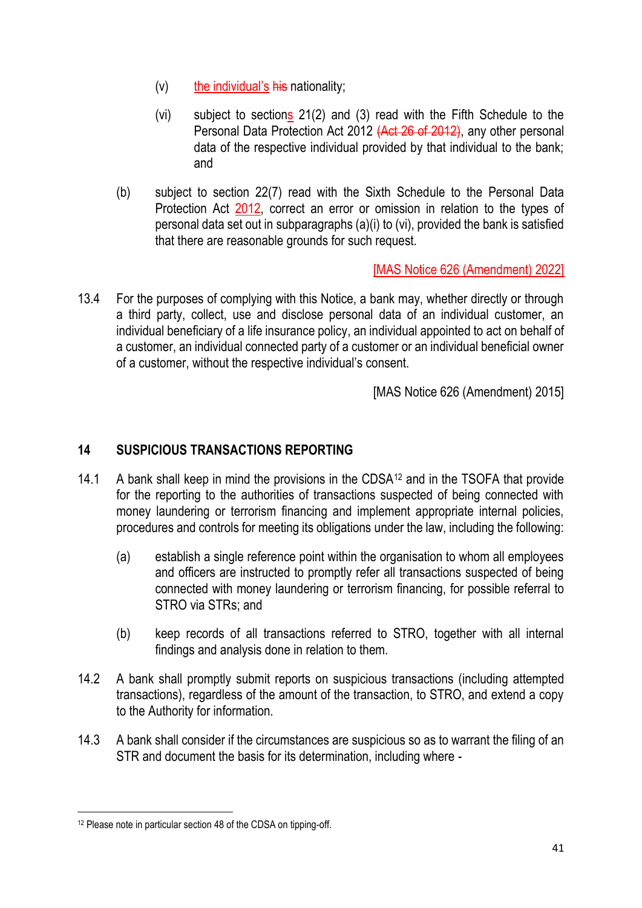- $(v)$  the individual's his nationality;
- (vi) subject to sections 21(2) and (3) read with the Fifth Schedule to the Personal Data Protection Act 2012 (Act 26 of 2012), any other personal data of the respective individual provided by that individual to the bank; and
- (b) subject to section 22(7) read with the Sixth Schedule to the Personal Data Protection Act 2012, correct an error or omission in relation to the types of personal data set out in subparagraphs (a)(i) to (vi), provided the bank is satisfied that there are reasonable grounds for such request.

13.4 For the purposes of complying with this Notice, a bank may, whether directly or through a third party, collect, use and disclose personal data of an individual customer, an individual beneficiary of a life insurance policy, an individual appointed to act on behalf of a customer, an individual connected party of a customer or an individual beneficial owner of a customer, without the respective individual's consent.

[MAS Notice 626 (Amendment) 2015]

### **14 SUSPICIOUS TRANSACTIONS REPORTING**

- 14.1 A bank shall keep in mind the provisions in the CDSA<sup>12</sup> and in the TSOFA that provide for the reporting to the authorities of transactions suspected of being connected with money laundering or terrorism financing and implement appropriate internal policies, procedures and controls for meeting its obligations under the law, including the following:
	- (a) establish a single reference point within the organisation to whom all employees and officers are instructed to promptly refer all transactions suspected of being connected with money laundering or terrorism financing, for possible referral to STRO via STRs; and
	- (b) keep records of all transactions referred to STRO, together with all internal findings and analysis done in relation to them.
- 14.2 A bank shall promptly submit reports on suspicious transactions (including attempted transactions), regardless of the amount of the transaction, to STRO, and extend a copy to the Authority for information.
- 14.3 A bank shall consider if the circumstances are suspicious so as to warrant the filing of an STR and document the basis for its determination, including where -

<sup>12</sup> Please note in particular section 48 of the CDSA on tipping-off.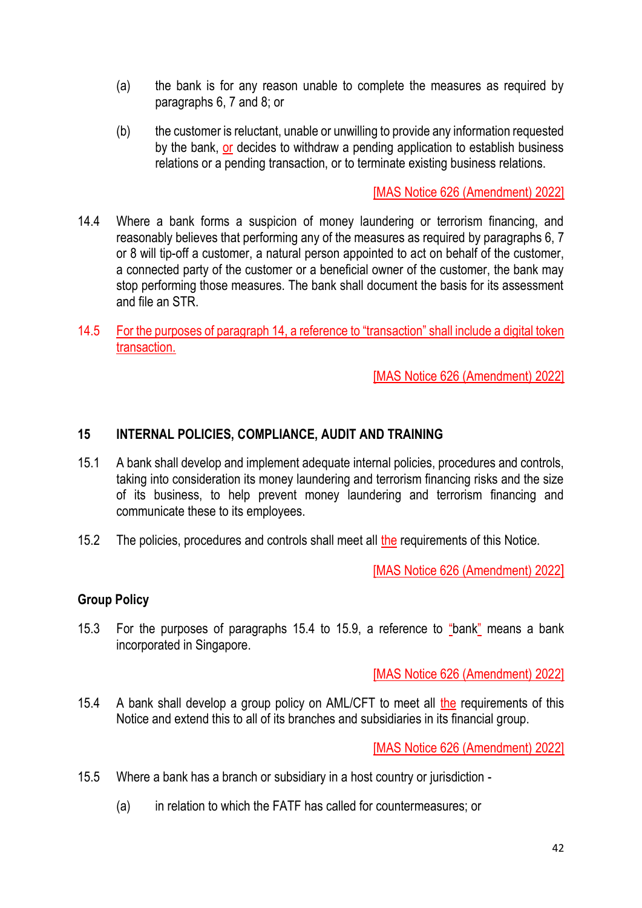- (a) the bank is for any reason unable to complete the measures as required by paragraphs 6, 7 and 8; or
- (b) the customer is reluctant, unable or unwilling to provide any information requested by the bank, or decides to withdraw a pending application to establish business relations or a pending transaction, or to terminate existing business relations.

- 14.4 Where a bank forms a suspicion of money laundering or terrorism financing, and reasonably believes that performing any of the measures as required by paragraphs 6, 7 or 8 will tip-off a customer, a natural person appointed to act on behalf of the customer, a connected party of the customer or a beneficial owner of the customer, the bank may stop performing those measures. The bank shall document the basis for its assessment and file an STR.
- 14.5 For the purposes of paragraph 14, a reference to "transaction" shall include a digital token transaction.

[MAS Notice 626 (Amendment) 2022]

### **15 INTERNAL POLICIES, COMPLIANCE, AUDIT AND TRAINING**

- 15.1 A bank shall develop and implement adequate internal policies, procedures and controls, taking into consideration its money laundering and terrorism financing risks and the size of its business, to help prevent money laundering and terrorism financing and communicate these to its employees.
- 15.2 The policies, procedures and controls shall meet all the requirements of this Notice.

[MAS Notice 626 (Amendment) 2022]

### **Group Policy**

15.3 For the purposes of paragraphs 15.4 to 15.9, a reference to "bank" means a bank incorporated in Singapore.

[MAS Notice 626 (Amendment) 2022]

15.4 A bank shall develop a group policy on AML/CFT to meet all the requirements of this Notice and extend this to all of its branches and subsidiaries in its financial group.

- 15.5 Where a bank has a branch or subsidiary in a host country or jurisdiction
	- (a) in relation to which the FATF has called for countermeasures; or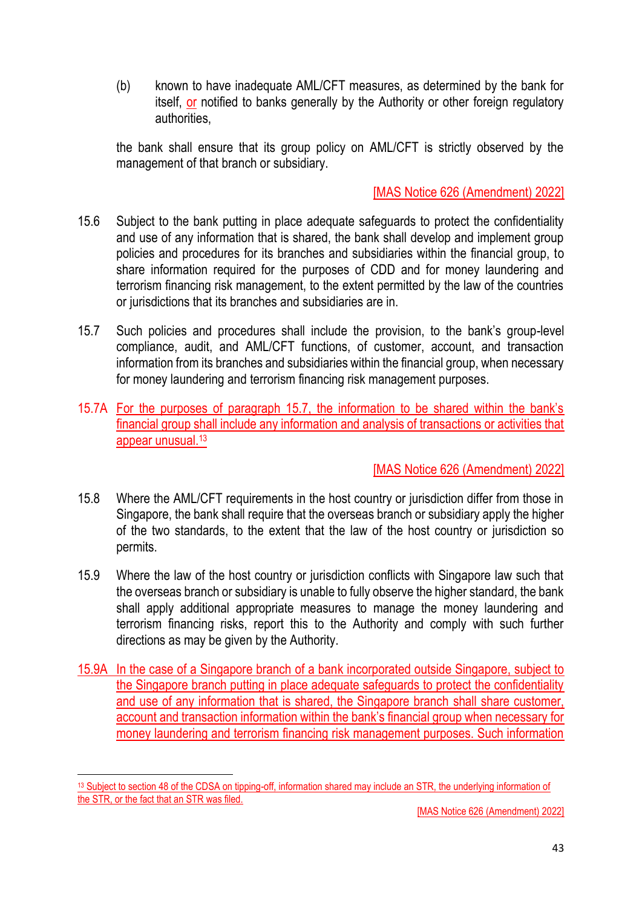(b) known to have inadequate AML/CFT measures, as determined by the bank for itself, or notified to banks generally by the Authority or other foreign regulatory authorities,

the bank shall ensure that its group policy on AML/CFT is strictly observed by the management of that branch or subsidiary.

## [MAS Notice 626 (Amendment) 2022]

- 15.6 Subject to the bank putting in place adequate safeguards to protect the confidentiality and use of any information that is shared, the bank shall develop and implement group policies and procedures for its branches and subsidiaries within the financial group, to share information required for the purposes of CDD and for money laundering and terrorism financing risk management, to the extent permitted by the law of the countries or jurisdictions that its branches and subsidiaries are in.
- 15.7 Such policies and procedures shall include the provision, to the bank's group-level compliance, audit, and AML/CFT functions, of customer, account, and transaction information from its branches and subsidiaries within the financial group, when necessary for money laundering and terrorism financing risk management purposes.
- 15.7A For the purposes of paragraph 15.7, the information to be shared within the bank's financial group shall include any information and analysis of transactions or activities that appear unusual.<sup>13</sup>

## [MAS Notice 626 (Amendment) 2022]

- 15.8 Where the AML/CFT requirements in the host country or jurisdiction differ from those in Singapore, the bank shall require that the overseas branch or subsidiary apply the higher of the two standards, to the extent that the law of the host country or jurisdiction so permits.
- 15.9 Where the law of the host country or jurisdiction conflicts with Singapore law such that the overseas branch or subsidiary is unable to fully observe the higher standard, the bank shall apply additional appropriate measures to manage the money laundering and terrorism financing risks, report this to the Authority and comply with such further directions as may be given by the Authority.
- 15.9A In the case of a Singapore branch of a bank incorporated outside Singapore, subject to the Singapore branch putting in place adequate safeguards to protect the confidentiality and use of any information that is shared, the Singapore branch shall share customer, account and transaction information within the bank's financial group when necessary for money laundering and terrorism financing risk management purposes. Such information

<sup>13</sup> Subject to section 48 of the CDSA on tipping-off, information shared may include an STR, the underlying information of the STR, or the fact that an STR was filed.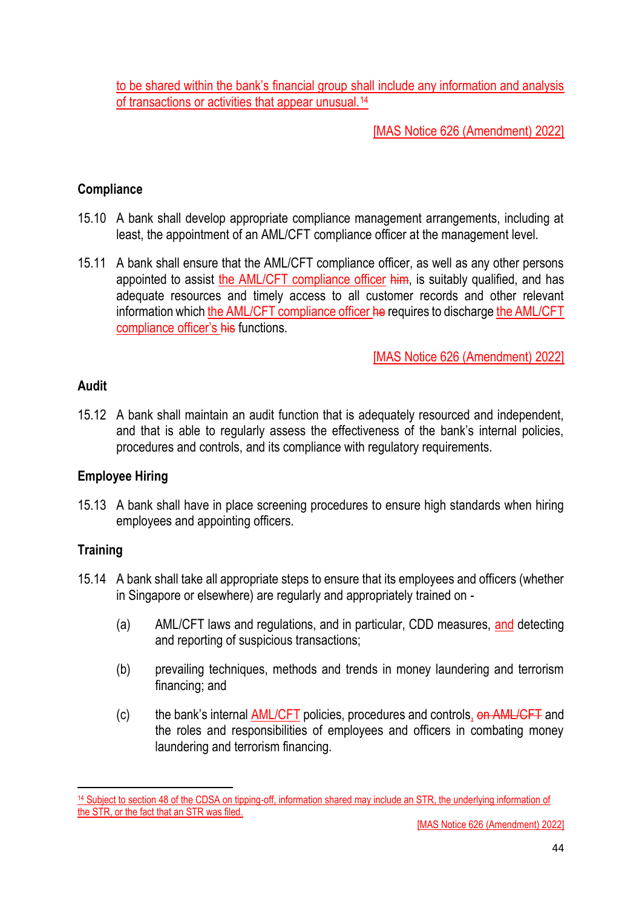to be shared within the bank's financial group shall include any information and analysis of transactions or activities that appear unusual.<sup>14</sup>

# [MAS Notice 626 (Amendment) 2022]

### **Compliance**

- 15.10 A bank shall develop appropriate compliance management arrangements, including at least, the appointment of an AML/CFT compliance officer at the management level.
- 15.11 A bank shall ensure that the AML/CFT compliance officer, as well as any other persons appointed to assist the AML/CFT compliance officer him, is suitably qualified, and has adequate resources and timely access to all customer records and other relevant information which the AML/CFT compliance officer he requires to discharge the AML/CFT compliance officer's his functions.

[MAS Notice 626 (Amendment) 2022]

### **Audit**

15.12 A bank shall maintain an audit function that is adequately resourced and independent, and that is able to regularly assess the effectiveness of the bank's internal policies, procedures and controls, and its compliance with regulatory requirements.

## **Employee Hiring**

15.13 A bank shall have in place screening procedures to ensure high standards when hiring employees and appointing officers.

### **Training**

- 15.14 A bank shall take all appropriate steps to ensure that its employees and officers (whether in Singapore or elsewhere) are regularly and appropriately trained on -
	- (a) AML/CFT laws and regulations, and in particular, CDD measures, and detecting and reporting of suspicious transactions;
	- (b) prevailing techniques, methods and trends in money laundering and terrorism financing; and
	- (c) the bank's internal AML/CFT policies, procedures and controls, on AML/CFT and the roles and responsibilities of employees and officers in combating money laundering and terrorism financing.

<sup>14</sup> Subject to section 48 of the CDSA on tipping-off, information shared may include an STR, the underlying information of the STR, or the fact that an STR was filed.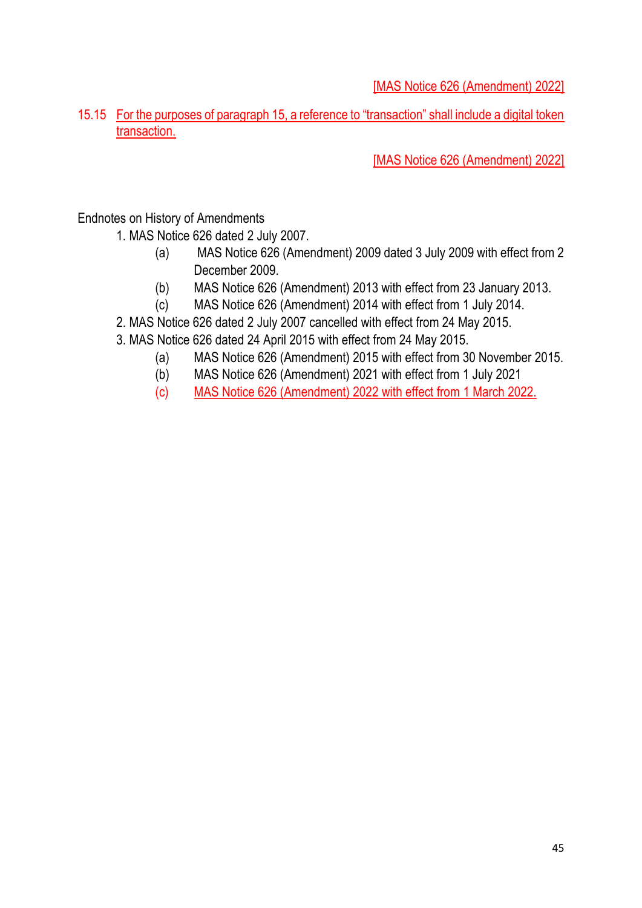15.15 For the purposes of paragraph 15, a reference to "transaction" shall include a digital token transaction.

[MAS Notice 626 (Amendment) 2022]

Endnotes on History of Amendments

1. MAS Notice 626 dated 2 July 2007.

- (a) MAS Notice 626 (Amendment) 2009 dated 3 July 2009 with effect from 2 December 2009.
- (b) MAS Notice 626 (Amendment) 2013 with effect from 23 January 2013.
- (c) MAS Notice 626 (Amendment) 2014 with effect from 1 July 2014.
- 2. MAS Notice 626 dated 2 July 2007 cancelled with effect from 24 May 2015.
- 3. MAS Notice 626 dated 24 April 2015 with effect from 24 May 2015.
	- (a) MAS Notice 626 (Amendment) 2015 with effect from 30 November 2015.
	- (b) MAS Notice 626 (Amendment) 2021 with effect from 1 July 2021
	- (c) MAS Notice 626 (Amendment) 2022 with effect from 1 March 2022.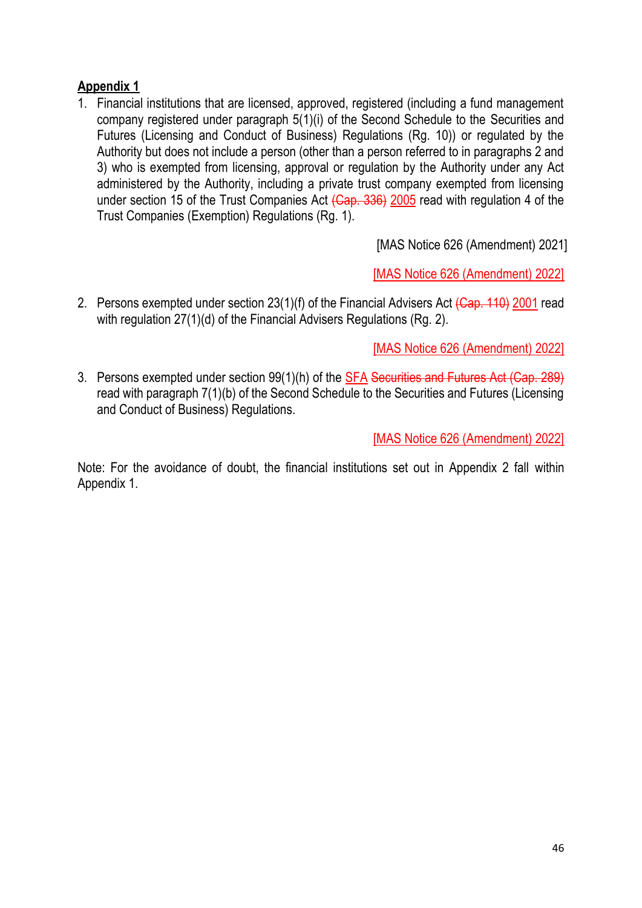## **Appendix 1**

1. Financial institutions that are licensed, approved, registered (including a fund management company registered under paragraph 5(1)(i) of the Second Schedule to the Securities and Futures (Licensing and Conduct of Business) Regulations (Rg. 10)) or regulated by the Authority but does not include a person (other than a person referred to in paragraphs 2 and 3) who is exempted from licensing, approval or regulation by the Authority under any Act administered by the Authority, including a private trust company exempted from licensing under section 15 of the Trust Companies Act (Cap. 336) 2005 read with regulation 4 of the Trust Companies (Exemption) Regulations (Rg. 1).

[MAS Notice 626 (Amendment) 2021]

[MAS Notice 626 (Amendment) 2022]

2. Persons exempted under section 23(1)(f) of the Financial Advisers Act (Cap. 110) 2001 read with regulation 27(1)(d) of the Financial Advisers Regulations (Rg. 2).

[MAS Notice 626 (Amendment) 2022]

3. Persons exempted under section 99(1)(h) of the SFA Securities and Futures Act (Cap. 289) read with paragraph 7(1)(b) of the Second Schedule to the Securities and Futures (Licensing and Conduct of Business) Regulations.

[MAS Notice 626 (Amendment) 2022]

Note: For the avoidance of doubt, the financial institutions set out in Appendix 2 fall within Appendix 1.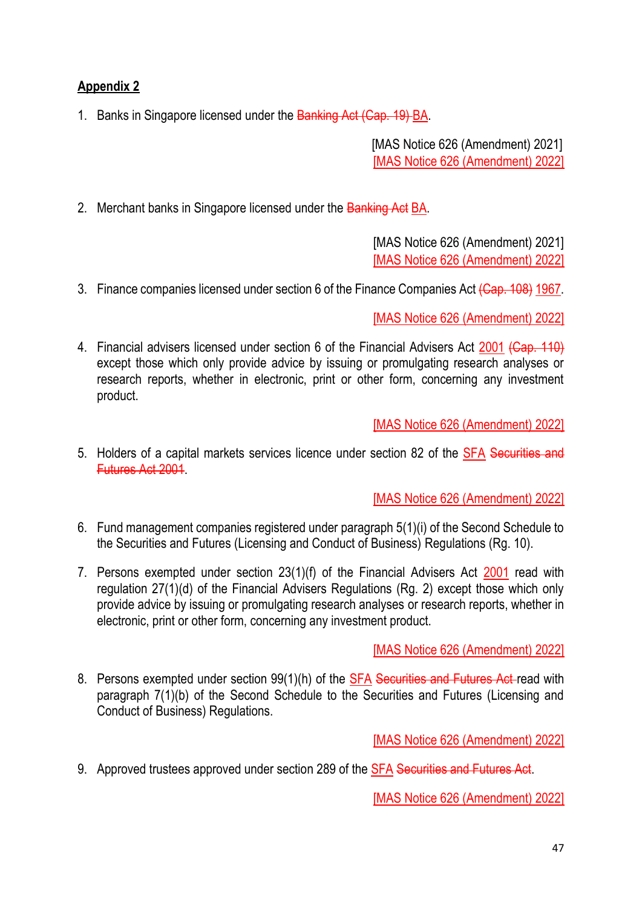## **Appendix 2**

1. Banks in Singapore licensed under the Banking Act (Cap. 19) BA.

[MAS Notice 626 (Amendment) 2021] [MAS Notice 626 (Amendment) 2022]

2. Merchant banks in Singapore licensed under the Banking Act BA.

[MAS Notice 626 (Amendment) 2021] [MAS Notice 626 (Amendment) 2022]

3. Finance companies licensed under section 6 of the Finance Companies Act (Cap. 108) 1967.

[MAS Notice 626 (Amendment) 2022]

4. Financial advisers licensed under section 6 of the Financial Advisers Act 2001 (Cap. 110) except those which only provide advice by issuing or promulgating research analyses or research reports, whether in electronic, print or other form, concerning any investment product.

[MAS Notice 626 (Amendment) 2022]

5. Holders of a capital markets services licence under section 82 of the SFA Securities and Futures Act 2001.

[MAS Notice 626 (Amendment) 2022]

- 6. Fund management companies registered under paragraph 5(1)(i) of the Second Schedule to the Securities and Futures (Licensing and Conduct of Business) Regulations (Rg. 10).
- 7. Persons exempted under section 23(1)(f) of the Financial Advisers Act 2001 read with regulation 27(1)(d) of the Financial Advisers Regulations (Rg. 2) except those which only provide advice by issuing or promulgating research analyses or research reports, whether in electronic, print or other form, concerning any investment product.

[MAS Notice 626 (Amendment) 2022]

8. Persons exempted under section 99(1)(h) of the SFA Securities and Futures Act read with paragraph 7(1)(b) of the Second Schedule to the Securities and Futures (Licensing and Conduct of Business) Regulations.

[MAS Notice 626 (Amendment) 2022]

9. Approved trustees approved under section 289 of the SFA Securities and Futures Act.